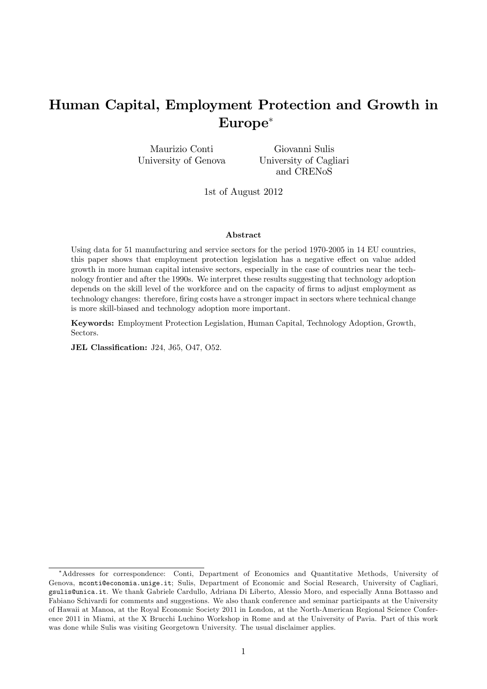# Human Capital, Employment Protection and Growth in Europe

Maurizio Conti University of Genova

Giovanni Sulis University of Cagliari and CRENoS

1st of August 2012

#### Abstract

Using data for 51 manufacturing and service sectors for the period 1970-2005 in 14 EU countries, this paper shows that employment protection legislation has a negative effect on value added growth in more human capital intensive sectors, especially in the case of countries near the technology frontier and after the 1990s. We interpret these results suggesting that technology adoption depends on the skill level of the workforce and on the capacity of firms to adjust employment as technology changes: therefore, firing costs have a stronger impact in sectors where technical change is more skill-biased and technology adoption more important.

Keywords: Employment Protection Legislation, Human Capital, Technology Adoption, Growth, Sectors.

JEL Classification: J24, J65, O47, O52.

Addresses for correspondence: Conti, Department of Economics and Quantitative Methods, University of Genova, mconti@economia.unige.it; Sulis, Department of Economic and Social Research, University of Cagliari, gsulis@unica.it. We thank Gabriele Cardullo, Adriana Di Liberto, Alessio Moro, and especially Anna Bottasso and Fabiano Schivardi for comments and suggestions. We also thank conference and seminar participants at the University of Hawaii at Manoa, at the Royal Economic Society 2011 in London, at the North-American Regional Science Conference 2011 in Miami, at the X Brucchi Luchino Workshop in Rome and at the University of Pavia. Part of this work was done while Sulis was visiting Georgetown University. The usual disclaimer applies.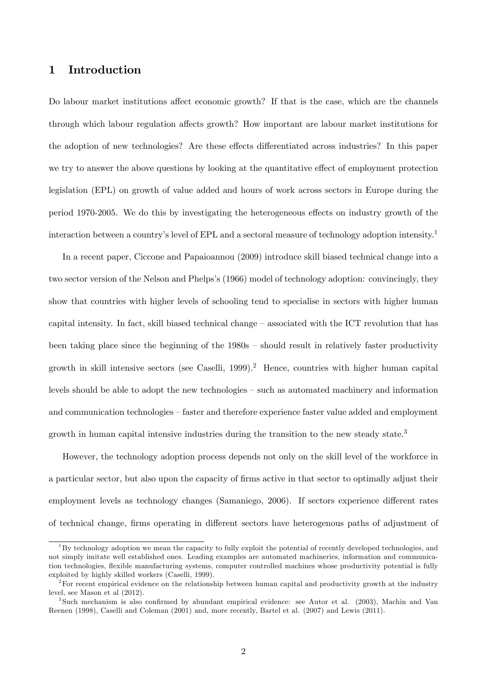## 1 Introduction

Do labour market institutions affect economic growth? If that is the case, which are the channels through which labour regulation affects growth? How important are labour market institutions for the adoption of new technologies? Are these effects differentiated across industries? In this paper we try to answer the above questions by looking at the quantitative effect of employment protection legislation (EPL) on growth of value added and hours of work across sectors in Europe during the period 1970-2005. We do this by investigating the heterogeneous effects on industry growth of the interaction between a country's level of EPL and a sectoral measure of technology adoption intensity.<sup>1</sup>

In a recent paper, Ciccone and Papaioannou (2009) introduce skill biased technical change into a two sector version of the Nelson and Phelps's (1966) model of technology adoption: convincingly, they show that countries with higher levels of schooling tend to specialise in sectors with higher human capital intensity. In fact, skill biased technical change  $-$  associated with the ICT revolution that has been taking place since the beginning of the  $1980s$  – should result in relatively faster productivity growth in skill intensive sectors (see Caselli, 1999).<sup>2</sup> Hence, countries with higher human capital levels should be able to adopt the new technologies  $-$  such as automated machinery and information and communication technologies – faster and therefore experience faster value added and employment growth in human capital intensive industries during the transition to the new steady state.<sup>3</sup>

However, the technology adoption process depends not only on the skill level of the workforce in a particular sector, but also upon the capacity of firms active in that sector to optimally adjust their employment levels as technology changes (Samaniego, 2006). If sectors experience different rates of technical change, firms operating in different sectors have heterogenous paths of adjustment of

 $1By$  technology adoption we mean the capacity to fully exploit the potential of recently developed technologies, and not simply imitate well established ones. Leading examples are automated machineries, information and communication technologies, áexible manufacturing systems, computer controlled machines whose productivity potential is fully exploited by highly skilled workers (Caselli, 1999).

<sup>&</sup>lt;sup>2</sup>For recent empirical evidence on the relationship between human capital and productivity growth at the industry level, see Mason et al (2012).

<sup>&</sup>lt;sup>3</sup>Such mechanism is also confirmed by abundant empirical evidence: see Autor et al. (2003), Machin and Van Reenen (1998), Caselli and Coleman (2001) and, more recently, Bartel et al. (2007) and Lewis (2011).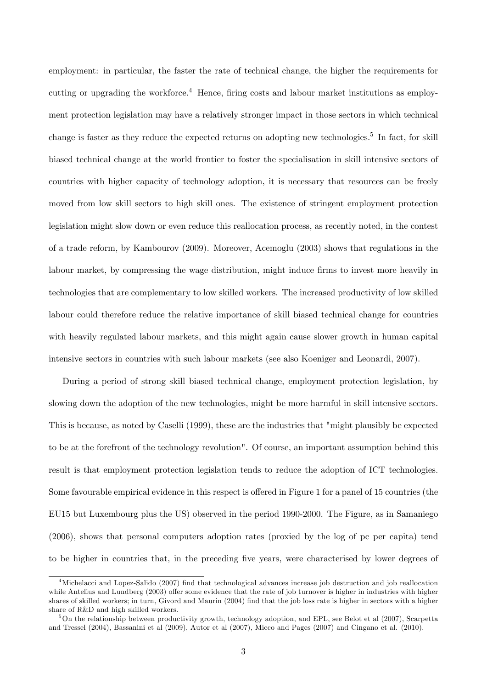employment: in particular, the faster the rate of technical change, the higher the requirements for cutting or upgrading the workforce.<sup>4</sup> Hence, firing costs and labour market institutions as employment protection legislation may have a relatively stronger impact in those sectors in which technical change is faster as they reduce the expected returns on adopting new technologies.<sup>5</sup> In fact, for skill biased technical change at the world frontier to foster the specialisation in skill intensive sectors of countries with higher capacity of technology adoption, it is necessary that resources can be freely moved from low skill sectors to high skill ones. The existence of stringent employment protection legislation might slow down or even reduce this reallocation process, as recently noted, in the contest of a trade reform, by Kambourov (2009). Moreover, Acemoglu (2003) shows that regulations in the labour market, by compressing the wage distribution, might induce firms to invest more heavily in technologies that are complementary to low skilled workers. The increased productivity of low skilled labour could therefore reduce the relative importance of skill biased technical change for countries with heavily regulated labour markets, and this might again cause slower growth in human capital intensive sectors in countries with such labour markets (see also Koeniger and Leonardi, 2007).

During a period of strong skill biased technical change, employment protection legislation, by slowing down the adoption of the new technologies, might be more harmful in skill intensive sectors. This is because, as noted by Caselli (1999), these are the industries that "might plausibly be expected to be at the forefront of the technology revolution". Of course, an important assumption behind this result is that employment protection legislation tends to reduce the adoption of ICT technologies. Some favourable empirical evidence in this respect is offered in Figure 1 for a panel of 15 countries (the EU15 but Luxembourg plus the US) observed in the period 1990-2000. The Figure, as in Samaniego (2006), shows that personal computers adoption rates (proxied by the log of pc per capita) tend to be higher in countries that, in the preceding five years, were characterised by lower degrees of

<sup>&</sup>lt;sup>4</sup>Michelacci and Lopez-Salido (2007) find that technological advances increase job destruction and job reallocation while Antelius and Lundberg (2003) offer some evidence that the rate of job turnover is higher in industries with higher shares of skilled workers; in turn, Givord and Maurin (2004) find that the job loss rate is higher in sectors with a higher share of R&D and high skilled workers.

<sup>5</sup>On the relationship between productivity growth, technology adoption, and EPL, see Belot et al (2007), Scarpetta and Tressel (2004), Bassanini et al (2009), Autor et al (2007), Micco and Pages (2007) and Cingano et al. (2010).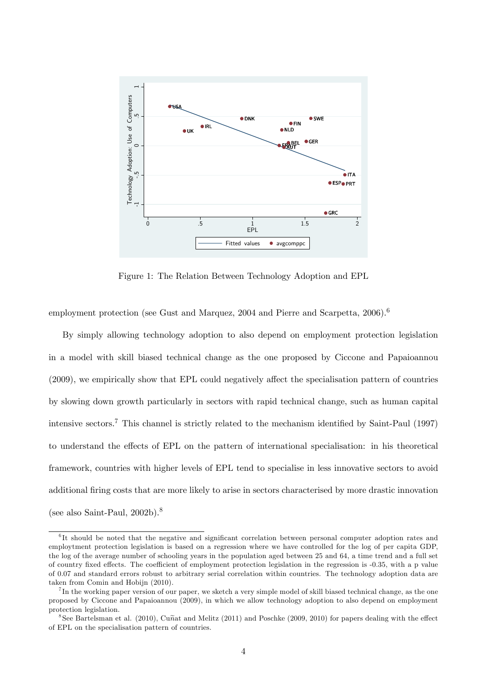

Figure 1: The Relation Between Technology Adoption and EPL

employment protection (see Gust and Marquez, 2004 and Pierre and Scarpetta, 2006).<sup>6</sup>

By simply allowing technology adoption to also depend on employment protection legislation in a model with skill biased technical change as the one proposed by Ciccone and Papaioannou  $(2009)$ , we empirically show that EPL could negatively affect the specialisation pattern of countries by slowing down growth particularly in sectors with rapid technical change, such as human capital intensive sectors.<sup>7</sup> This channel is strictly related to the mechanism identified by Saint-Paul (1997) to understand the effects of EPL on the pattern of international specialisation: in his theoretical framework, countries with higher levels of EPL tend to specialise in less innovative sectors to avoid additional firing costs that are more likely to arise in sectors characterised by more drastic innovation (see also Saint-Paul,  $2002b$ ).<sup>8</sup>

<sup>&</sup>lt;sup>6</sup>It should be noted that the negative and significant correlation between personal computer adoption rates and employtment protection legislation is based on a regression where we have controlled for the log of per capita GDP, the log of the average number of schooling years in the population aged between 25 and 64, a time trend and a full set of country fixed effects. The coefficient of employment protection legislation in the regression is -0.35, with a p value of 0.07 and standard errors robust to arbitrary serial correlation within countries. The technology adoption data are taken from Comin and Hobijn (2010).

<sup>&</sup>lt;sup>7</sup>In the working paper version of our paper, we sketch a very simple model of skill biased technical change, as the one proposed by Ciccone and Papaioannou (2009), in which we allow technology adoption to also depend on employment protection legislation.

<sup>&</sup>lt;sup>8</sup>See Bartelsman et al. (2010), Cunat and Melitz (2011) and Poschke (2009, 2010) for papers dealing with the effect of EPL on the specialisation pattern of countries.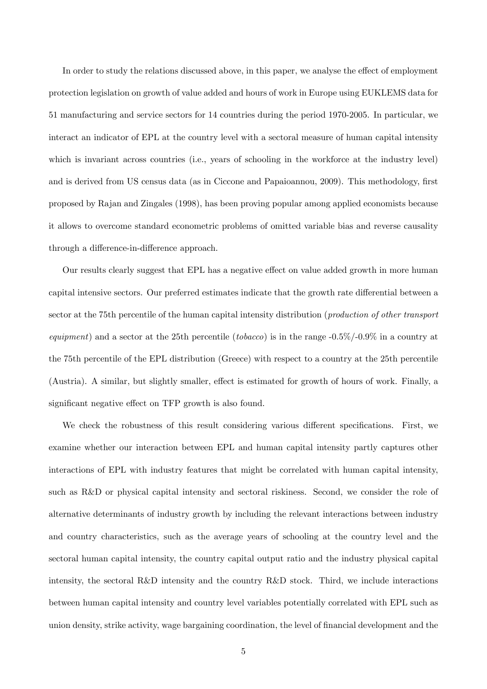In order to study the relations discussed above, in this paper, we analyse the effect of employment protection legislation on growth of value added and hours of work in Europe using EUKLEMS data for 51 manufacturing and service sectors for 14 countries during the period 1970-2005. In particular, we interact an indicator of EPL at the country level with a sectoral measure of human capital intensity which is invariant across countries (i.e., years of schooling in the workforce at the industry level) and is derived from US census data (as in Ciccone and Papaioannou, 2009). This methodology, first proposed by Rajan and Zingales (1998), has been proving popular among applied economists because it allows to overcome standard econometric problems of omitted variable bias and reverse causality through a difference-in-difference approach.

Our results clearly suggest that EPL has a negative effect on value added growth in more human capital intensive sectors. Our preferred estimates indicate that the growth rate differential between a sector at the 75th percentile of the human capital intensity distribution (production of other transport equipment) and a sector at the 25th percentile (tobacco) is in the range  $-0.5\%/0.9\%$  in a country at the 75th percentile of the EPL distribution (Greece) with respect to a country at the 25th percentile (Austria). A similar, but slightly smaller, effect is estimated for growth of hours of work. Finally, a significant negative effect on TFP growth is also found.

We check the robustness of this result considering various different specifications. First, we examine whether our interaction between EPL and human capital intensity partly captures other interactions of EPL with industry features that might be correlated with human capital intensity, such as R&D or physical capital intensity and sectoral riskiness. Second, we consider the role of alternative determinants of industry growth by including the relevant interactions between industry and country characteristics, such as the average years of schooling at the country level and the sectoral human capital intensity, the country capital output ratio and the industry physical capital intensity, the sectoral R&D intensity and the country R&D stock. Third, we include interactions between human capital intensity and country level variables potentially correlated with EPL such as union density, strike activity, wage bargaining coordination, the level of financial development and the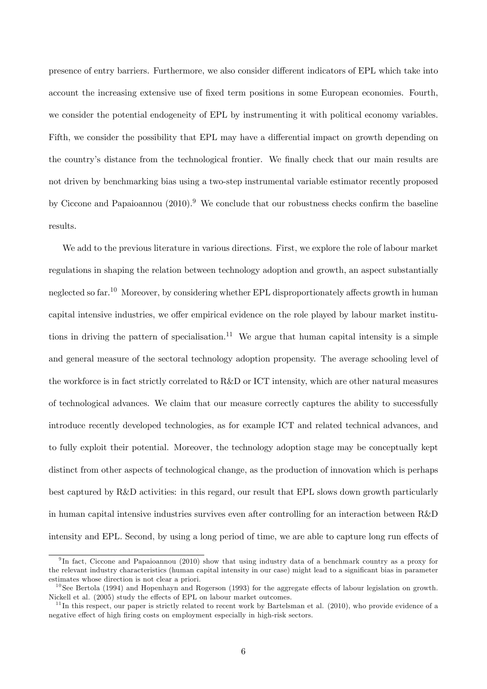presence of entry barriers. Furthermore, we also consider different indicators of EPL which take into account the increasing extensive use of fixed term positions in some European economies. Fourth, we consider the potential endogeneity of EPL by instrumenting it with political economy variables. Fifth, we consider the possibility that EPL may have a differential impact on growth depending on the country's distance from the technological frontier. We finally check that our main results are not driven by benchmarking bias using a two-step instrumental variable estimator recently proposed by Ciccone and Papaioannou  $(2010)$ .<sup>9</sup> We conclude that our robustness checks confirm the baseline results.

We add to the previous literature in various directions. First, we explore the role of labour market regulations in shaping the relation between technology adoption and growth, an aspect substantially neglected so far.<sup>10</sup> Moreover, by considering whether EPL disproportionately affects growth in human capital intensive industries, we offer empirical evidence on the role played by labour market institutions in driving the pattern of specialisation.<sup>11</sup> We argue that human capital intensity is a simple and general measure of the sectoral technology adoption propensity. The average schooling level of the workforce is in fact strictly correlated to R&D or ICT intensity, which are other natural measures of technological advances. We claim that our measure correctly captures the ability to successfully introduce recently developed technologies, as for example ICT and related technical advances, and to fully exploit their potential. Moreover, the technology adoption stage may be conceptually kept distinct from other aspects of technological change, as the production of innovation which is perhaps best captured by R&D activities: in this regard, our result that EPL slows down growth particularly in human capital intensive industries survives even after controlling for an interaction between R&D intensity and EPL. Second, by using a long period of time, we are able to capture long run effects of

<sup>&</sup>lt;sup>9</sup>In fact, Ciccone and Papaioannou (2010) show that using industry data of a benchmark country as a proxy for the relevant industry characteristics (human capital intensity in our case) might lead to a significant bias in parameter estimates whose direction is not clear a priori.

 $10$  See Bertola (1994) and Hopenhayn and Rogerson (1993) for the aggregate effects of labour legislation on growth. Nickell et al. (2005) study the effects of EPL on labour market outcomes.

 $11$ In this respect, our paper is strictly related to recent work by Bartelsman et al. (2010), who provide evidence of a negative effect of high firing costs on employment especially in high-risk sectors.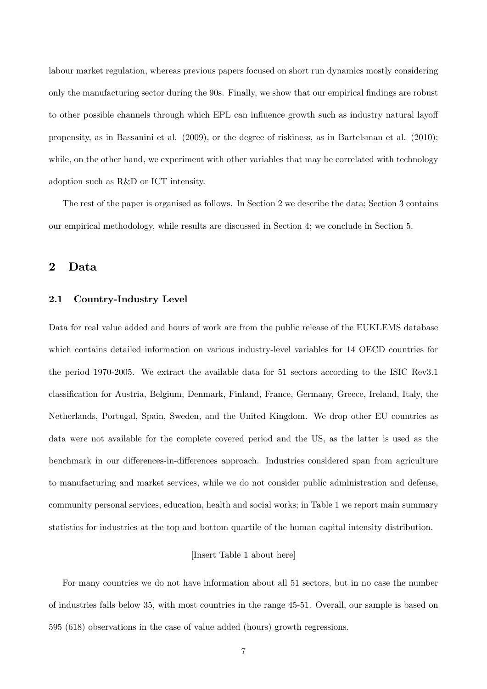labour market regulation, whereas previous papers focused on short run dynamics mostly considering only the manufacturing sector during the 90s. Finally, we show that our empirical Öndings are robust to other possible channels through which EPL can influence growth such as industry natural layoff propensity, as in Bassanini et al. (2009), or the degree of riskiness, as in Bartelsman et al. (2010); while, on the other hand, we experiment with other variables that may be correlated with technology adoption such as R&D or ICT intensity.

The rest of the paper is organised as follows. In Section 2 we describe the data; Section 3 contains our empirical methodology, while results are discussed in Section 4; we conclude in Section 5.

## 2 Data

### 2.1 Country-Industry Level

Data for real value added and hours of work are from the public release of the EUKLEMS database which contains detailed information on various industry-level variables for 14 OECD countries for the period 1970-2005. We extract the available data for 51 sectors according to the ISIC Rev3.1 classification for Austria, Belgium, Denmark, Finland, France, Germany, Greece, Ireland, Italy, the Netherlands, Portugal, Spain, Sweden, and the United Kingdom. We drop other EU countries as data were not available for the complete covered period and the US, as the latter is used as the benchmark in our differences-in-differences approach. Industries considered span from agriculture to manufacturing and market services, while we do not consider public administration and defense, community personal services, education, health and social works; in Table 1 we report main summary statistics for industries at the top and bottom quartile of the human capital intensity distribution.

#### [Insert Table 1 about here]

For many countries we do not have information about all 51 sectors, but in no case the number of industries falls below 35, with most countries in the range 45-51. Overall, our sample is based on 595 (618) observations in the case of value added (hours) growth regressions.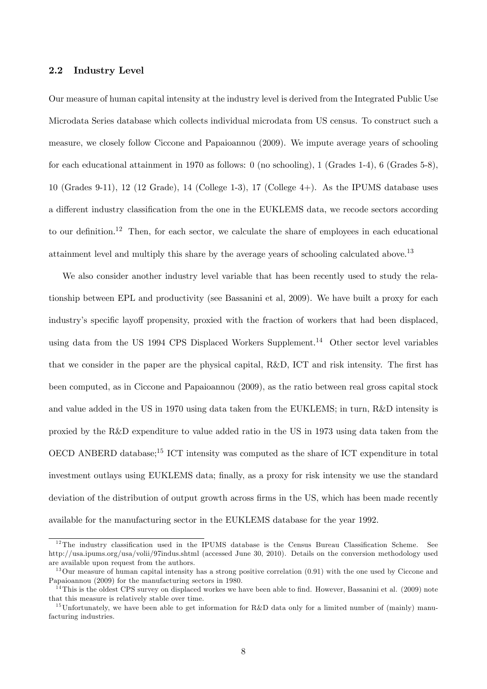#### 2.2 Industry Level

Our measure of human capital intensity at the industry level is derived from the Integrated Public Use Microdata Series database which collects individual microdata from US census. To construct such a measure, we closely follow Ciccone and Papaioannou (2009). We impute average years of schooling for each educational attainment in 1970 as follows: 0 (no schooling), 1 (Grades 1-4), 6 (Grades 5-8), 10 (Grades 9-11), 12 (12 Grade), 14 (College 1-3), 17 (College 4+). As the IPUMS database uses a different industry classification from the one in the EUKLEMS data, we recode sectors according to our definition.<sup>12</sup> Then, for each sector, we calculate the share of employees in each educational attainment level and multiply this share by the average years of schooling calculated above.<sup>13</sup>

We also consider another industry level variable that has been recently used to study the relationship between EPL and productivity (see Bassanini et al, 2009). We have built a proxy for each industry's specific layoff propensity, proxied with the fraction of workers that had been displaced, using data from the US 1994 CPS Displaced Workers Supplement.<sup>14</sup> Other sector level variables that we consider in the paper are the physical capital,  $R\&D$ , ICT and risk intensity. The first has been computed, as in Ciccone and Papaioannou (2009), as the ratio between real gross capital stock and value added in the US in 1970 using data taken from the EUKLEMS; in turn, R&D intensity is proxied by the R&D expenditure to value added ratio in the US in 1973 using data taken from the OECD ANBERD database;<sup>15</sup> ICT intensity was computed as the share of ICT expenditure in total investment outlays using EUKLEMS data; finally, as a proxy for risk intensity we use the standard deviation of the distribution of output growth across firms in the US, which has been made recently available for the manufacturing sector in the EUKLEMS database for the year 1992.

 $12$ The industry classification used in the IPUMS database is the Census Bureau Classification Scheme. See http://usa.ipums.org/usa/volii/97indus.shtml (accessed June 30, 2010). Details on the conversion methodology used are available upon request from the authors.

 $13$  Our measure of human capital intensity has a strong positive correlation  $(0.91)$  with the one used by Ciccone and Papaioannou (2009) for the manufacturing sectors in 1980.

 $14$ This is the oldest CPS survey on displaced workes we have been able to find. However, Bassanini et al. (2009) note that this measure is relatively stable over time.

<sup>&</sup>lt;sup>15</sup>Unfortunately, we have been able to get information for R&D data only for a limited number of (mainly) manufacturing industries.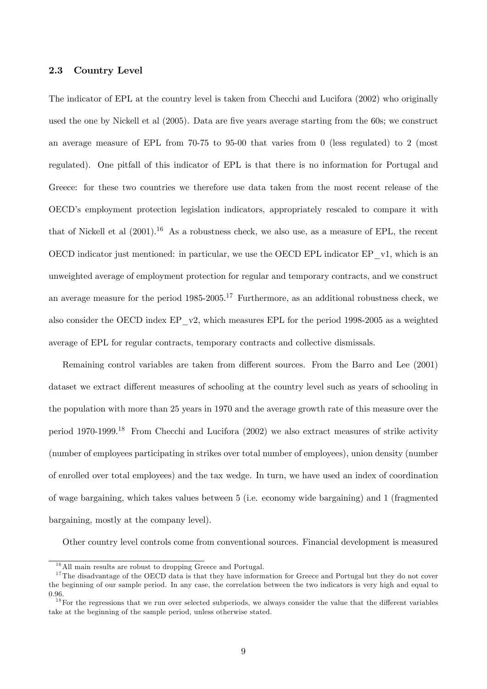#### 2.3 Country Level

The indicator of EPL at the country level is taken from Checchi and Lucifora (2002) who originally used the one by Nickell et al (2005). Data are five years average starting from the 60s; we construct an average measure of EPL from 70-75 to 95-00 that varies from 0 (less regulated) to 2 (most regulated). One pitfall of this indicator of EPL is that there is no information for Portugal and Greece: for these two countries we therefore use data taken from the most recent release of the OECDís employment protection legislation indicators, appropriately rescaled to compare it with that of Nickell et al  $(2001).^{16}$  As a robustness check, we also use, as a measure of EPL, the recent OECD indicator just mentioned: in particular, we use the OECD EPL indicator EP\_v1, which is an unweighted average of employment protection for regular and temporary contracts, and we construct an average measure for the period  $1985-2005$ .<sup>17</sup> Furthermore, as an additional robustness check, we also consider the OECD index EP\_v2, which measures EPL for the period 1998-2005 as a weighted average of EPL for regular contracts, temporary contracts and collective dismissals.

Remaining control variables are taken from different sources. From the Barro and Lee (2001) dataset we extract different measures of schooling at the country level such as years of schooling in the population with more than 25 years in 1970 and the average growth rate of this measure over the period 1970-1999.<sup>18</sup> From Checchi and Lucifora (2002) we also extract measures of strike activity (number of employees participating in strikes over total number of employees), union density (number of enrolled over total employees) and the tax wedge. In turn, we have used an index of coordination of wage bargaining, which takes values between 5 (i.e. economy wide bargaining) and 1 (fragmented bargaining, mostly at the company level).

Other country level controls come from conventional sources. Financial development is measured

 $16$ All main results are robust to dropping Greece and Portugal.

 $17$ The disadvantage of the OECD data is that they have information for Greece and Portugal but they do not cover the beginning of our sample period. In any case, the correlation between the two indicators is very high and equal to 0.96.

 $18$  For the regressions that we run over selected subperiods, we always consider the value that the different variables take at the beginning of the sample period, unless otherwise stated.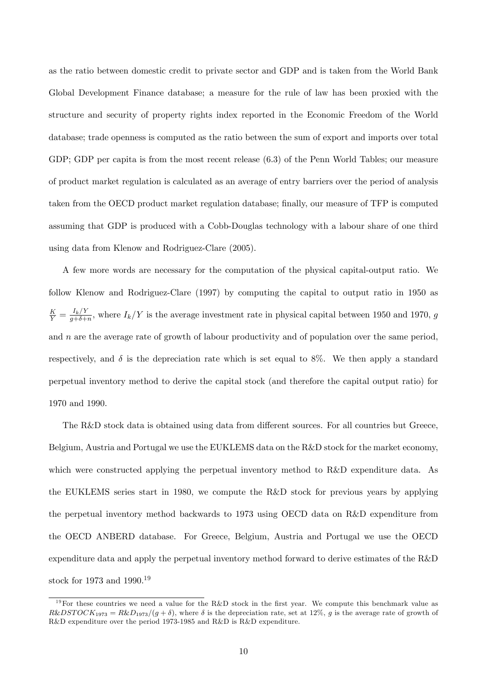as the ratio between domestic credit to private sector and GDP and is taken from the World Bank Global Development Finance database; a measure for the rule of law has been proxied with the structure and security of property rights index reported in the Economic Freedom of the World database; trade openness is computed as the ratio between the sum of export and imports over total GDP; GDP per capita is from the most recent release (6.3) of the Penn World Tables; our measure of product market regulation is calculated as an average of entry barriers over the period of analysis taken from the OECD product market regulation database; finally, our measure of TFP is computed assuming that GDP is produced with a Cobb-Douglas technology with a labour share of one third using data from Klenow and Rodriguez-Clare (2005).

A few more words are necessary for the computation of the physical capital-output ratio. We follow Klenow and Rodriguez-Clare (1997) by computing the capital to output ratio in 1950 as  $\frac{K}{Y}=\frac{I_{k}/Y}{g+\delta+}$  $\frac{I_k}{g+\delta+n}$ , where  $I_k/Y$  is the average investment rate in physical capital between 1950 and 1970, g and  $n$  are the average rate of growth of labour productivity and of population over the same period, respectively, and  $\delta$  is the depreciation rate which is set equal to 8%. We then apply a standard perpetual inventory method to derive the capital stock (and therefore the capital output ratio) for 1970 and 1990.

The R&D stock data is obtained using data from different sources. For all countries but Greece, Belgium, Austria and Portugal we use the EUKLEMS data on the R&D stock for the market economy, which were constructed applying the perpetual inventory method to R&D expenditure data. As the EUKLEMS series start in 1980, we compute the R&D stock for previous years by applying the perpetual inventory method backwards to 1973 using OECD data on R&D expenditure from the OECD ANBERD database. For Greece, Belgium, Austria and Portugal we use the OECD expenditure data and apply the perpetual inventory method forward to derive estimates of the R&D stock for 1973 and 1990.<sup>19</sup>

<sup>&</sup>lt;sup>19</sup>For these countries we need a value for the R&D stock in the first year. We compute this benchmark value as  $R\&DSTOCK_{1973} = R\&D_{1973}/(g + \delta)$ , where  $\delta$  is the depreciation rate, set at 12%, g is the average rate of growth of R&D expenditure over the period 1973-1985 and R&D is R&D expenditure.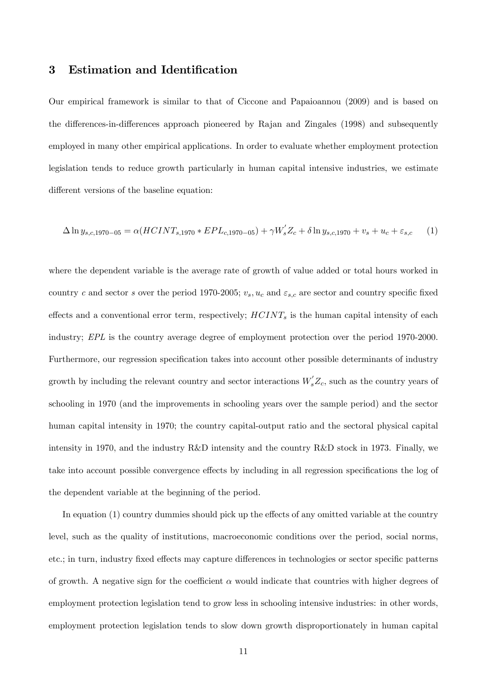## 3 Estimation and Identification

Our empirical framework is similar to that of Ciccone and Papaioannou (2009) and is based on the differences-in-differences approach pioneered by Rajan and Zingales (1998) and subsequently employed in many other empirical applications. In order to evaluate whether employment protection legislation tends to reduce growth particularly in human capital intensive industries, we estimate different versions of the baseline equation:

$$
\Delta \ln y_{s,c,1970-05} = \alpha (HCINT_{s,1970} * EPL_{c,1970-05}) + \gamma W_s' Z_c + \delta \ln y_{s,c,1970} + v_s + u_c + \varepsilon_{s,c} \tag{1}
$$

where the dependent variable is the average rate of growth of value added or total hours worked in country c and sector s over the period 1970-2005;  $v_s$ ,  $u_c$  and  $\varepsilon_{s,c}$  are sector and country specific fixed effects and a conventional error term, respectively;  $HCINT<sub>s</sub>$  is the human capital intensity of each industry; EPL is the country average degree of employment protection over the period 1970-2000. Furthermore, our regression specification takes into account other possible determinants of industry growth by including the relevant country and sector interactions  $W_s'Z_c$ , such as the country years of schooling in 1970 (and the improvements in schooling years over the sample period) and the sector human capital intensity in 1970; the country capital-output ratio and the sectoral physical capital intensity in 1970, and the industry R&D intensity and the country R&D stock in 1973. Finally, we take into account possible convergence effects by including in all regression specifications the log of the dependent variable at the beginning of the period.

In equation  $(1)$  country dummies should pick up the effects of any omitted variable at the country level, such as the quality of institutions, macroeconomic conditions over the period, social norms, etc.; in turn, industry fixed effects may capture differences in technologies or sector specific patterns of growth. A negative sign for the coefficient  $\alpha$  would indicate that countries with higher degrees of employment protection legislation tend to grow less in schooling intensive industries: in other words, employment protection legislation tends to slow down growth disproportionately in human capital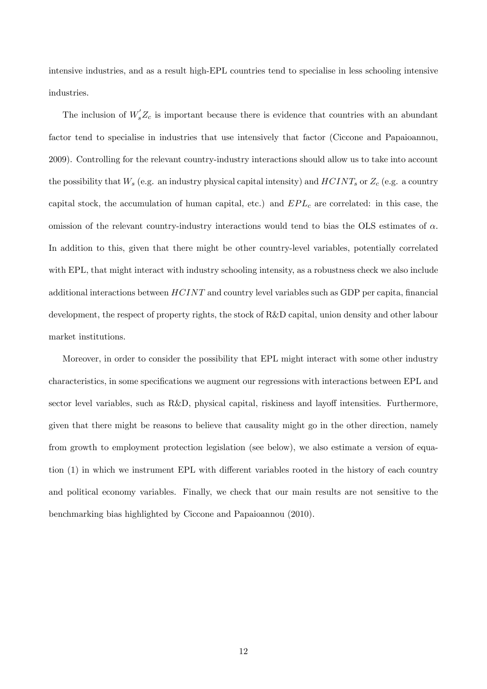intensive industries, and as a result high-EPL countries tend to specialise in less schooling intensive industries.

The inclusion of  $W_s'Z_c$  is important because there is evidence that countries with an abundant factor tend to specialise in industries that use intensively that factor (Ciccone and Papaioannou, 2009). Controlling for the relevant country-industry interactions should allow us to take into account the possibility that  $W_s$  (e.g. an industry physical capital intensity) and  $HCINT_s$  or  $Z_c$  (e.g. a country capital stock, the accumulation of human capital, etc.) and  $EPL<sub>c</sub>$  are correlated: in this case, the omission of the relevant country-industry interactions would tend to bias the OLS estimates of  $\alpha$ . In addition to this, given that there might be other country-level variables, potentially correlated with EPL, that might interact with industry schooling intensity, as a robustness check we also include additional interactions between  $HCINT$  and country level variables such as GDP per capita, financial development, the respect of property rights, the stock of R&D capital, union density and other labour market institutions.

Moreover, in order to consider the possibility that EPL might interact with some other industry characteristics, in some specifications we augment our regressions with interactions between EPL and sector level variables, such as  $R&D$ , physical capital, riskiness and layoff intensities. Furthermore, given that there might be reasons to believe that causality might go in the other direction, namely from growth to employment protection legislation (see below), we also estimate a version of equation (1) in which we instrument EPL with different variables rooted in the history of each country and political economy variables. Finally, we check that our main results are not sensitive to the benchmarking bias highlighted by Ciccone and Papaioannou (2010).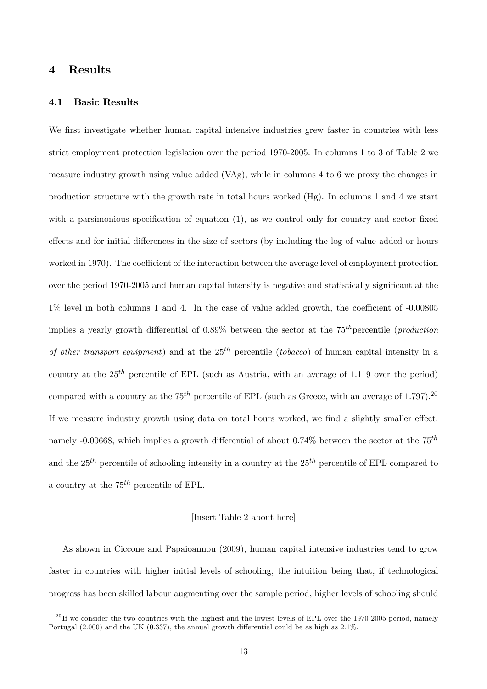## 4 Results

#### 4.1 Basic Results

We first investigate whether human capital intensive industries grew faster in countries with less strict employment protection legislation over the period 1970-2005. In columns 1 to 3 of Table 2 we measure industry growth using value added  $(VAg)$ , while in columns 4 to 6 we proxy the changes in production structure with the growth rate in total hours worked (Hg). In columns 1 and 4 we start with a parsimonious specification of equation  $(1)$ , as we control only for country and sector fixed effects and for initial differences in the size of sectors (by including the log of value added or hours worked in 1970). The coefficient of the interaction between the average level of employment protection over the period 1970-2005 and human capital intensity is negative and statistically significant at the  $1\%$  level in both columns 1 and 4. In the case of value added growth, the coefficient of  $-0.00805$ implies a yearly growth differential of  $0.89\%$  between the sector at the  $75<sup>th</sup>$  percentile (*production* of other transport equipment) and at the  $25<sup>th</sup>$  percentile (tobacco) of human capital intensity in a country at the  $25<sup>th</sup>$  percentile of EPL (such as Austria, with an average of 1.119 over the period) compared with a country at the 75<sup>th</sup> percentile of EPL (such as Greece, with an average of 1.797).<sup>20</sup> If we measure industry growth using data on total hours worked, we find a slightly smaller effect, namely -0.00668, which implies a growth differential of about 0.74% between the sector at the  $75^{th}$ and the  $25<sup>th</sup>$  percentile of schooling intensity in a country at the  $25<sup>th</sup>$  percentile of EPL compared to a country at the  $75^{th}$  percentile of EPL.

#### [Insert Table 2 about here]

As shown in Ciccone and Papaioannou (2009), human capital intensive industries tend to grow faster in countries with higher initial levels of schooling, the intuition being that, if technological progress has been skilled labour augmenting over the sample period, higher levels of schooling should

 $^{20}$  If we consider the two countries with the highest and the lowest levels of EPL over the 1970-2005 period, namely Portugal  $(2.000)$  and the UK  $(0.337)$ , the annual growth differential could be as high as  $2.1\%$ .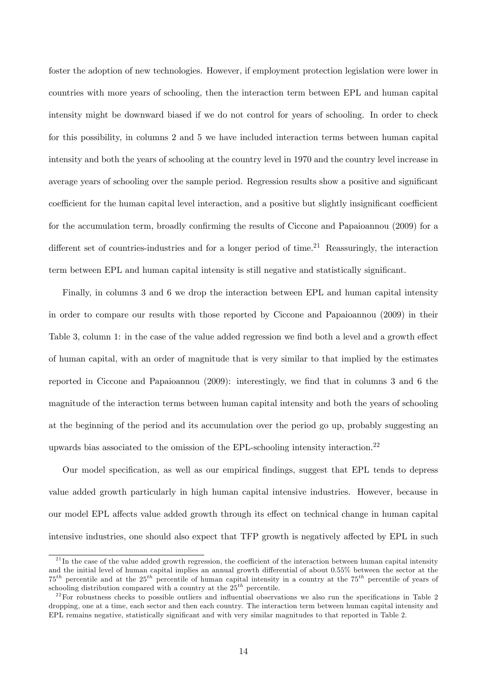foster the adoption of new technologies. However, if employment protection legislation were lower in countries with more years of schooling, then the interaction term between EPL and human capital intensity might be downward biased if we do not control for years of schooling. In order to check for this possibility, in columns 2 and 5 we have included interaction terms between human capital intensity and both the years of schooling at the country level in 1970 and the country level increase in average years of schooling over the sample period. Regression results show a positive and significant coefficient for the human capital level interaction, and a positive but slightly insignificant coefficient for the accumulation term, broadly confirming the results of Ciccone and Papaioannou (2009) for a different set of countries-industries and for a longer period of time.<sup>21</sup> Reassuringly, the interaction term between EPL and human capital intensity is still negative and statistically significant.

Finally, in columns 3 and 6 we drop the interaction between EPL and human capital intensity in order to compare our results with those reported by Ciccone and Papaioannou (2009) in their Table 3, column 1: in the case of the value added regression we find both a level and a growth effect of human capital, with an order of magnitude that is very similar to that implied by the estimates reported in Ciccone and Papaioannou (2009): interestingly, we find that in columns 3 and 6 the magnitude of the interaction terms between human capital intensity and both the years of schooling at the beginning of the period and its accumulation over the period go up, probably suggesting an upwards bias associated to the omission of the EPL-schooling intensity interaction.<sup>22</sup>

Our model specification, as well as our empirical findings, suggest that EPL tends to depress value added growth particularly in high human capital intensive industries. However, because in our model EPL affects value added growth through its effect on technical change in human capital intensive industries, one should also expect that TFP growth is negatively affected by EPL in such

 $21$  In the case of the value added growth regression, the coefficient of the interaction between human capital intensity and the initial level of human capital implies an annual growth differential of about 0.55% between the sector at the  $75<sup>th</sup>$  percentile and at the  $25<sup>th</sup>$  percentile of human capital intensity in a country at the  $75<sup>th</sup>$  percentile of years of schooling distribution compared with a country at the  $25^{th}$  percentile.

 $^{22}$  For robustness checks to possible outliers and influential observations we also run the specifications in Table 2 dropping, one at a time, each sector and then each country. The interaction term between human capital intensity and EPL remains negative, statistically significant and with very similar magnitudes to that reported in Table 2.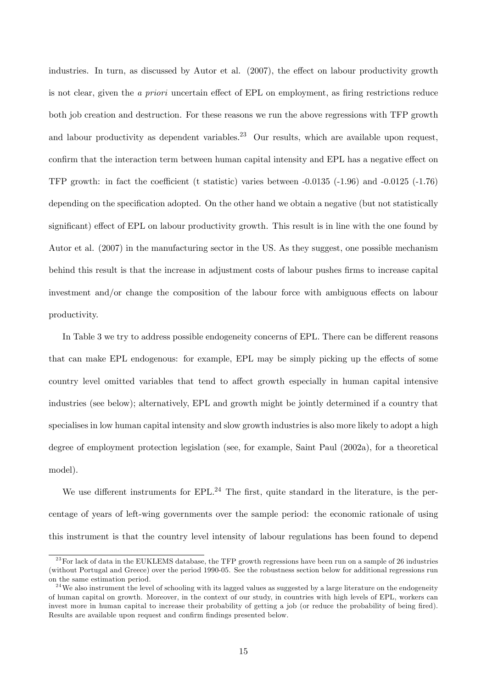industries. In turn, as discussed by Autor et al.  $(2007)$ , the effect on labour productivity growth is not clear, given the *a priori* uncertain effect of EPL on employment, as firing restrictions reduce both job creation and destruction. For these reasons we run the above regressions with TFP growth and labour productivity as dependent variables.<sup>23</sup> Our results, which are available upon request, confirm that the interaction term between human capital intensity and EPL has a negative effect on TFP growth: in fact the coefficient (t statistic) varies between  $-0.0135$  ( $-1.96$ ) and  $-0.0125$  ( $-1.76$ ) depending on the specification adopted. On the other hand we obtain a negative (but not statistically significant) effect of EPL on labour productivity growth. This result is in line with the one found by Autor et al. (2007) in the manufacturing sector in the US. As they suggest, one possible mechanism behind this result is that the increase in adjustment costs of labour pushes firms to increase capital investment and/or change the composition of the labour force with ambiguous effects on labour productivity.

In Table 3 we try to address possible endogeneity concerns of EPL. There can be different reasons that can make EPL endogenous: for example, EPL may be simply picking up the effects of some country level omitted variables that tend to affect growth especially in human capital intensive industries (see below); alternatively, EPL and growth might be jointly determined if a country that specialises in low human capital intensity and slow growth industries is also more likely to adopt a high degree of employment protection legislation (see, for example, Saint Paul (2002a), for a theoretical model).

We use different instruments for  $EPL<sup>24</sup>$  The first, quite standard in the literature, is the percentage of years of left-wing governments over the sample period: the economic rationale of using this instrument is that the country level intensity of labour regulations has been found to depend

 $^{23}$  For lack of data in the EUKLEMS database, the TFP growth regressions have been run on a sample of 26 industries (without Portugal and Greece) over the period 1990-05. See the robustness section below for additional regressions run on the same estimation period.

 $24$  We also instrument the level of schooling with its lagged values as suggested by a large literature on the endogeneity of human capital on growth. Moreover, in the context of our study, in countries with high levels of EPL, workers can invest more in human capital to increase their probability of getting a job (or reduce the probability of being fired). Results are available upon request and confirm findings presented below.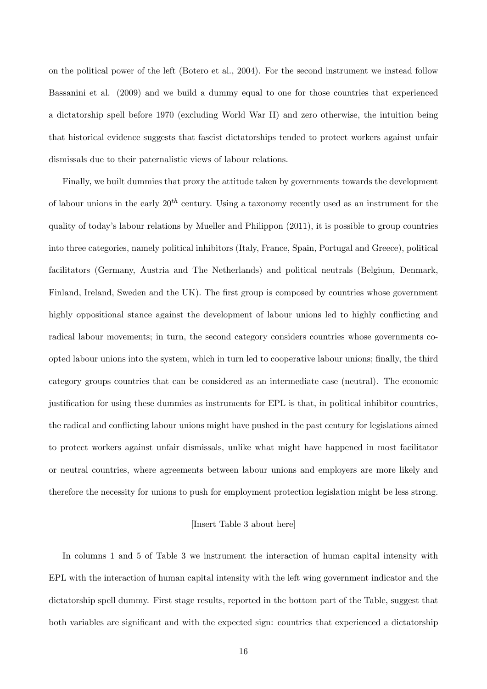on the political power of the left (Botero et al., 2004). For the second instrument we instead follow Bassanini et al. (2009) and we build a dummy equal to one for those countries that experienced a dictatorship spell before 1970 (excluding World War II) and zero otherwise, the intuition being that historical evidence suggests that fascist dictatorships tended to protect workers against unfair dismissals due to their paternalistic views of labour relations.

Finally, we built dummies that proxy the attitude taken by governments towards the development of labour unions in the early  $20^{th}$  century. Using a taxonomy recently used as an instrument for the quality of todayís labour relations by Mueller and Philippon (2011), it is possible to group countries into three categories, namely political inhibitors (Italy, France, Spain, Portugal and Greece), political facilitators (Germany, Austria and The Netherlands) and political neutrals (Belgium, Denmark, Finland, Ireland, Sweden and the UK). The first group is composed by countries whose government highly oppositional stance against the development of labour unions led to highly conflicting and radical labour movements; in turn, the second category considers countries whose governments coopted labour unions into the system, which in turn led to cooperative labour unions; Önally, the third category groups countries that can be considered as an intermediate case (neutral). The economic justification for using these dummies as instruments for EPL is that, in political inhibitor countries, the radical and conflicting labour unions might have pushed in the past century for legislations aimed to protect workers against unfair dismissals, unlike what might have happened in most facilitator or neutral countries, where agreements between labour unions and employers are more likely and therefore the necessity for unions to push for employment protection legislation might be less strong.

#### [Insert Table 3 about here]

In columns 1 and 5 of Table 3 we instrument the interaction of human capital intensity with EPL with the interaction of human capital intensity with the left wing government indicator and the dictatorship spell dummy. First stage results, reported in the bottom part of the Table, suggest that both variables are significant and with the expected sign: countries that experienced a dictatorship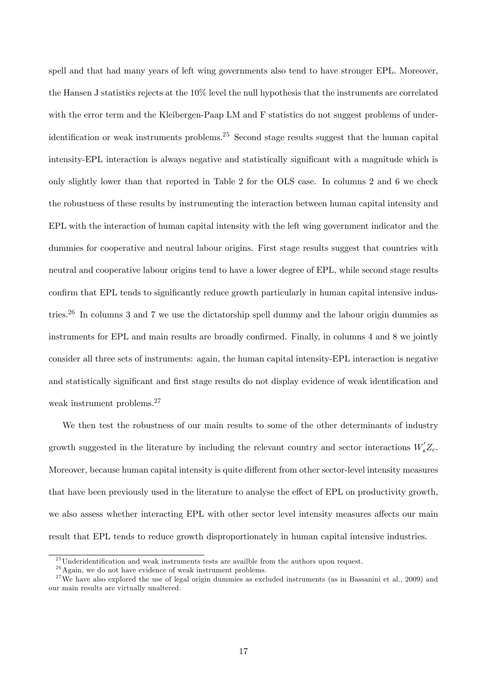spell and that had many years of left wing governments also tend to have stronger EPL. Moreover, the Hansen J statistics rejects at the 10% level the null hypothesis that the instruments are correlated with the error term and the Kleibergen-Paap LM and F statistics do not suggest problems of underidentification or weak instruments problems.<sup>25</sup> Second stage results suggest that the human capital intensity-EPL interaction is always negative and statistically significant with a magnitude which is only slightly lower than that reported in Table 2 for the OLS case. In columns 2 and 6 we check the robustness of these results by instrumenting the interaction between human capital intensity and EPL with the interaction of human capital intensity with the left wing government indicator and the dummies for cooperative and neutral labour origins. First stage results suggest that countries with neutral and cooperative labour origins tend to have a lower degree of EPL, while second stage results confirm that EPL tends to significantly reduce growth particularly in human capital intensive industries.<sup>26</sup> In columns 3 and 7 we use the dictatorship spell dummy and the labour origin dummies as instruments for EPL and main results are broadly confirmed. Finally, in columns 4 and 8 we jointly consider all three sets of instruments: again, the human capital intensity-EPL interaction is negative and statistically significant and first stage results do not display evidence of weak identification and weak instrument problems.<sup>27</sup>

We then test the robustness of our main results to some of the other determinants of industry growth suggested in the literature by including the relevant country and sector interactions  $W_s'Z_c$ . Moreover, because human capital intensity is quite different from other sector-level intensity measures that have been previously used in the literature to analyse the effect of EPL on productivity growth, we also assess whether interacting EPL with other sector level intensity measures affects our main result that EPL tends to reduce growth disproportionately in human capital intensive industries.

 $^{25}\rm{Underidentification}$  and weak instruments tests are availble from the authors upon request.

 $26$  Again, we do not have evidence of weak instrument problems.

 $27$  We have also explored the use of legal origin dummies as excluded instruments (as in Bassanini et al., 2009) and our main results are virtually unaltered.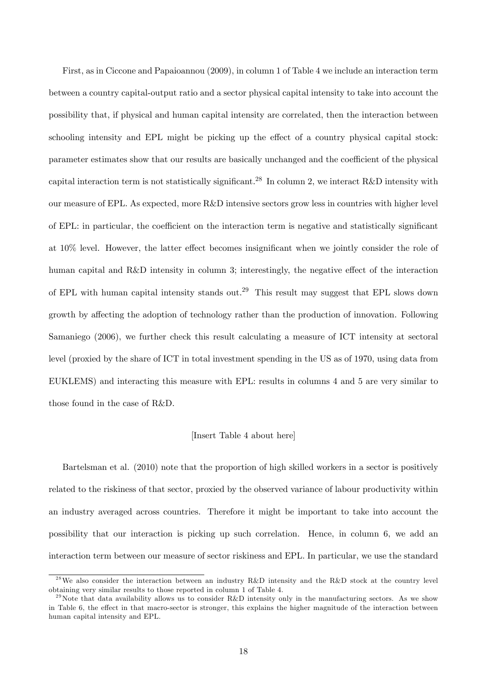First, as in Ciccone and Papaioannou (2009), in column 1 of Table 4 we include an interaction term between a country capital-output ratio and a sector physical capital intensity to take into account the possibility that, if physical and human capital intensity are correlated, then the interaction between schooling intensity and EPL might be picking up the effect of a country physical capital stock: parameter estimates show that our results are basically unchanged and the coefficient of the physical capital interaction term is not statistically significant.<sup>28</sup> In column 2, we interact R&D intensity with our measure of EPL. As expected, more R&D intensive sectors grow less in countries with higher level of EPL: in particular, the coefficient on the interaction term is negative and statistically significant at  $10\%$  level. However, the latter effect becomes insignificant when we jointly consider the role of human capital and R&D intensity in column 3; interestingly, the negative effect of the interaction of EPL with human capital intensity stands out.<sup>29</sup> This result may suggest that EPL slows down growth by affecting the adoption of technology rather than the production of innovation. Following Samaniego (2006), we further check this result calculating a measure of ICT intensity at sectoral level (proxied by the share of ICT in total investment spending in the US as of 1970, using data from EUKLEMS) and interacting this measure with EPL: results in columns 4 and 5 are very similar to those found in the case of R&D.

#### [Insert Table 4 about here]

Bartelsman et al. (2010) note that the proportion of high skilled workers in a sector is positively related to the riskiness of that sector, proxied by the observed variance of labour productivity within an industry averaged across countries. Therefore it might be important to take into account the possibility that our interaction is picking up such correlation. Hence, in column 6, we add an interaction term between our measure of sector riskiness and EPL. In particular, we use the standard

<sup>&</sup>lt;sup>28</sup>We also consider the interaction between an industry R&D intensity and the R&D stock at the country level obtaining very similar results to those reported in column 1 of Table 4.

<sup>&</sup>lt;sup>29</sup>Note that data availability allows us to consider R&D intensity only in the manufacturing sectors. As we show in Table 6, the effect in that macro-sector is stronger, this explains the higher magnitude of the interaction between human capital intensity and EPL.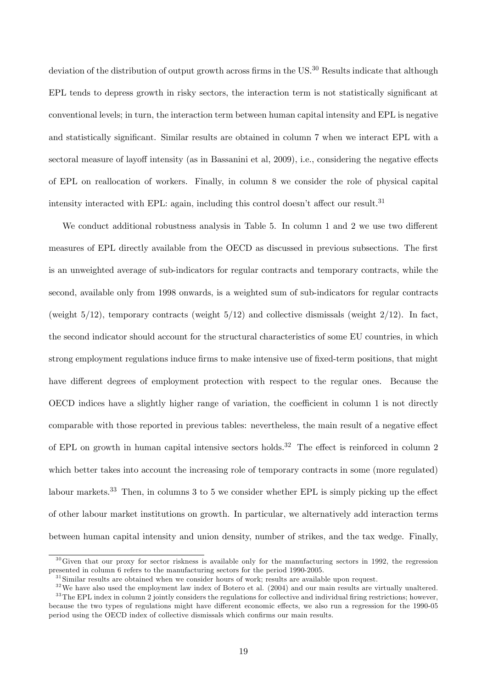deviation of the distribution of output growth across firms in the US.<sup>30</sup> Results indicate that although EPL tends to depress growth in risky sectors, the interaction term is not statistically significant at conventional levels; in turn, the interaction term between human capital intensity and EPL is negative and statistically significant. Similar results are obtained in column 7 when we interact EPL with a sectoral measure of layoff intensity (as in Bassanini et al, 2009), i.e., considering the negative effects of EPL on reallocation of workers. Finally, in column 8 we consider the role of physical capital intensity interacted with EPL: again, including this control doesn't affect our result.<sup>31</sup>

We conduct additional robustness analysis in Table 5. In column 1 and 2 we use two different measures of EPL directly available from the OECD as discussed in previous subsections. The first is an unweighted average of sub-indicators for regular contracts and temporary contracts, while the second, available only from 1998 onwards, is a weighted sum of sub-indicators for regular contracts (weight  $5/12$ ), temporary contracts (weight  $5/12$ ) and collective dismissals (weight  $2/12$ ). In fact, the second indicator should account for the structural characteristics of some EU countries, in which strong employment regulations induce firms to make intensive use of fixed-term positions, that might have different degrees of employment protection with respect to the regular ones. Because the OECD indices have a slightly higher range of variation, the coefficient in column  $1$  is not directly comparable with those reported in previous tables: nevertheless, the main result of a negative effect of EPL on growth in human capital intensive sectors holds.<sup>32</sup> The effect is reinforced in column 2 which better takes into account the increasing role of temporary contracts in some (more regulated) labour markets.<sup>33</sup> Then, in columns 3 to 5 we consider whether EPL is simply picking up the effect of other labour market institutions on growth. In particular, we alternatively add interaction terms between human capital intensity and union density, number of strikes, and the tax wedge. Finally,

 $30$  Given that our proxy for sector riskness is available only for the manufacturing sectors in 1992, the regression presented in column 6 refers to the manufacturing sectors for the period 1990-2005.

<sup>&</sup>lt;sup>31</sup> Similar results are obtained when we consider hours of work; results are available upon request.

 $32$  We have also used the employment law index of Botero et al. (2004) and our main results are virtually unaltered.  $33$  The EPL index in column 2 jointly considers the regulations for collective and individual firing restrictions; however, because the two types of regulations might have different economic effects, we also run a regression for the 1990-05 period using the OECD index of collective dismissals which confirms our main results.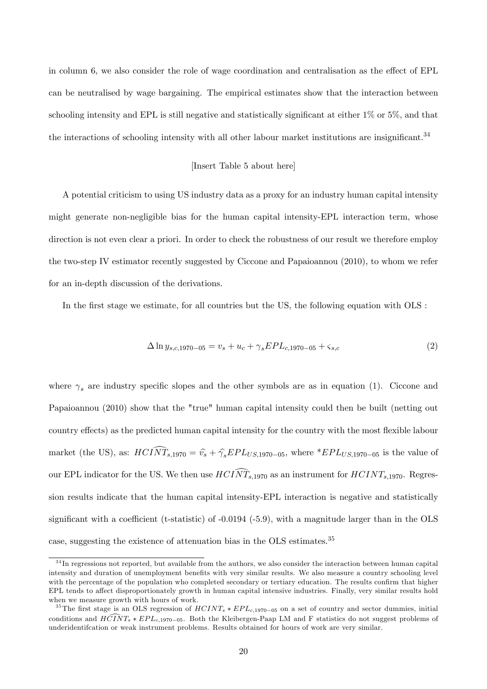in column 6, we also consider the role of wage coordination and centralisation as the effect of EPL can be neutralised by wage bargaining. The empirical estimates show that the interaction between schooling intensity and EPL is still negative and statistically significant at either  $1\%$  or  $5\%$ , and that the interactions of schooling intensity with all other labour market institutions are insignificant.<sup>34</sup>

#### [Insert Table 5 about here]

A potential criticism to using US industry data as a proxy for an industry human capital intensity might generate non-negligible bias for the human capital intensity-EPL interaction term, whose direction is not even clear a priori. In order to check the robustness of our result we therefore employ the two-step IV estimator recently suggested by Ciccone and Papaioannou (2010), to whom we refer for an in-depth discussion of the derivations.

In the first stage we estimate, for all countries but the US, the following equation with OLS :

$$
\Delta \ln y_{s,c,1970-05} = v_s + u_c + \gamma_s EPL_{c,1970-05} + \varsigma_{s,c} \tag{2}
$$

where  $\gamma_s$  are industry specific slopes and the other symbols are as in equation (1). Ciccone and Papaioannou (2010) show that the "true" human capital intensity could then be built (netting out country effects) as the predicted human capital intensity for the country with the most flexible labour market (the US), as:  $HCI\widehat{NT}_{s,1970} = \widehat{v}_s + \widehat{\gamma}_s EPL_{US,1970-05}$ , where \* $EPL_{US,1970-05}$  is the value of our EPL indicator for the US. We then use  $HCI\widehat{NT}_{s,1970}$  as an instrument for  $HCINT_{s,1970}$ . Regression results indicate that the human capital intensity-EPL interaction is negative and statistically significant with a coefficient (t-statistic) of  $-0.0194$  ( $-5.9$ ), with a magnitude larger than in the OLS case, suggesting the existence of attenuation bias in the OLS estimates.<sup>35</sup>

 $34$  In regressions not reported, but available from the authors, we also consider the interaction between human capital intensity and duration of unemployment benefits with very similar results. We also measure a country schooling level with the percentage of the population who completed secondary or tertiary education. The results confirm that higher EPL tends to affect disproportionately growth in human capital intensive industries. Finally, very similar results hold when we measure growth with hours of work.

<sup>&</sup>lt;sup>35</sup>The first stage is an OLS regression of  $HCINT_s * EPL_{c,1970-05}$  on a set of country and sector dummies, initial conditions and  $H\overline{C}\overline{N}T_s * EPL_{c,1970-05}$ . Both the Kleibergen-Paap LM and F statistics do not suggest problems of underidentifcation or weak instrument problems. Results obtained for hours of work are very similar.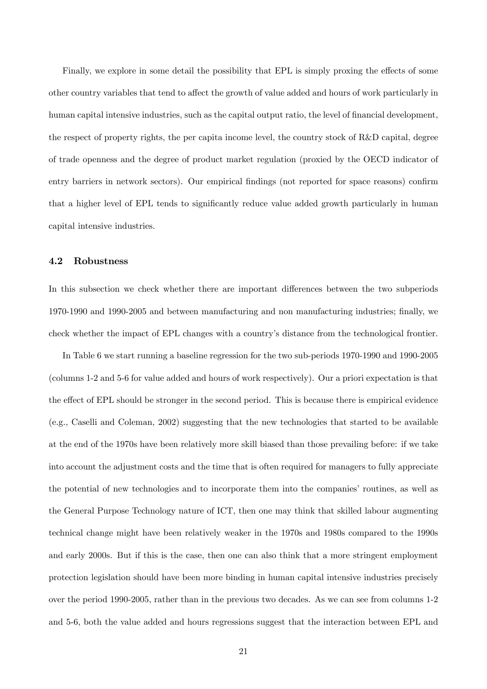Finally, we explore in some detail the possibility that EPL is simply proxing the effects of some other country variables that tend to affect the growth of value added and hours of work particularly in human capital intensive industries, such as the capital output ratio, the level of financial development, the respect of property rights, the per capita income level, the country stock of R&D capital, degree of trade openness and the degree of product market regulation (proxied by the OECD indicator of entry barriers in network sectors). Our empirical findings (not reported for space reasons) confirm that a higher level of EPL tends to significantly reduce value added growth particularly in human capital intensive industries.

#### 4.2 Robustness

In this subsection we check whether there are important differences between the two subperiods 1970-1990 and 1990-2005 and between manufacturing and non manufacturing industries; Önally, we check whether the impact of EPL changes with a country's distance from the technological frontier.

In Table 6 we start running a baseline regression for the two sub-periods 1970-1990 and 1990-2005 (columns 1-2 and 5-6 for value added and hours of work respectively). Our a priori expectation is that the effect of EPL should be stronger in the second period. This is because there is empirical evidence (e.g., Caselli and Coleman, 2002) suggesting that the new technologies that started to be available at the end of the 1970s have been relatively more skill biased than those prevailing before: if we take into account the adjustment costs and the time that is often required for managers to fully appreciate the potential of new technologies and to incorporate them into the companiesí routines, as well as the General Purpose Technology nature of ICT, then one may think that skilled labour augmenting technical change might have been relatively weaker in the 1970s and 1980s compared to the 1990s and early 2000s. But if this is the case, then one can also think that a more stringent employment protection legislation should have been more binding in human capital intensive industries precisely over the period 1990-2005, rather than in the previous two decades. As we can see from columns 1-2 and 5-6, both the value added and hours regressions suggest that the interaction between EPL and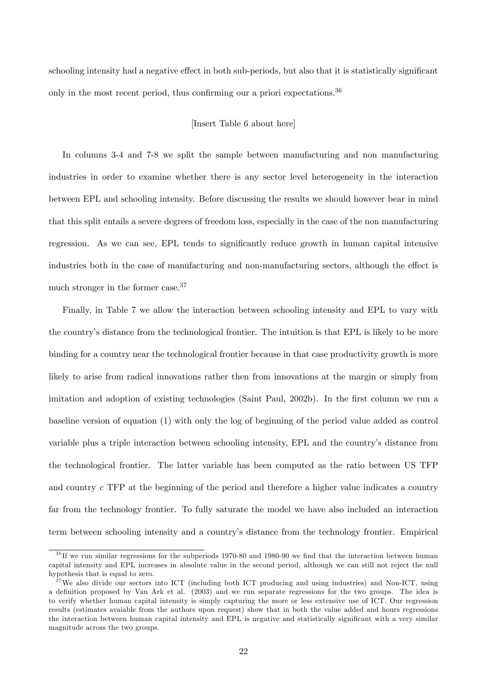schooling intensity had a negative effect in both sub-periods, but also that it is statistically significant only in the most recent period, thus confirming our a priori expectations.<sup>36</sup>

#### [Insert Table 6 about here]

In columns 3-4 and 7-8 we split the sample between manufacturing and non manufacturing industries in order to examine whether there is any sector level heterogeneity in the interaction between EPL and schooling intensity. Before discussing the results we should however bear in mind that this split entails a severe degrees of freedom loss, especially in the case of the non manufacturing regression. As we can see, EPL tends to significantly reduce growth in human capital intensive industries both in the case of manufacturing and non-manufacturing sectors, although the effect is much stronger in the former case.<sup>37</sup>

Finally, in Table 7 we allow the interaction between schooling intensity and EPL to vary with the countryís distance from the technological frontier. The intuition is that EPL is likely to be more binding for a country near the technological frontier because in that case productivity growth is more likely to arise from radical innovations rather then from innovations at the margin or simply from imitation and adoption of existing technologies (Saint Paul, 2002b). In the first column we run a baseline version of equation (1) with only the log of beginning of the period value added as control variable plus a triple interaction between schooling intensity, EPL and the country's distance from the technological frontier. The latter variable has been computed as the ratio between US TFP and country c TFP at the beginning of the period and therefore a higher value indicates a country far from the technology frontier. To fully saturate the model we have also included an interaction term between schooling intensity and a countryís distance from the technology frontier. Empirical

 $36$  If we run similar regressions for the subperiods 1970-80 and 1980-90 we find that the interaction between human capital intensity and EPL increases in absolute value in the second period, although we can still not reject the null hypothesis that is equal to zero.

 $37$  We also divide our sectors into ICT (including both ICT producing and using industries) and Non-ICT, using a deÖnition proposed by Van Ark et al. (2003) and we run separate regressions for the two groups. The idea is to verify whether human capital intensity is simply capturing the more or less extensive use of ICT. Our regression results (estimates avaiable from the authors upon request) show that in both the value added and hours regressions the interaction between human capital intensity and EPL is negative and statistically significant with a very similar magnitude across the two groups.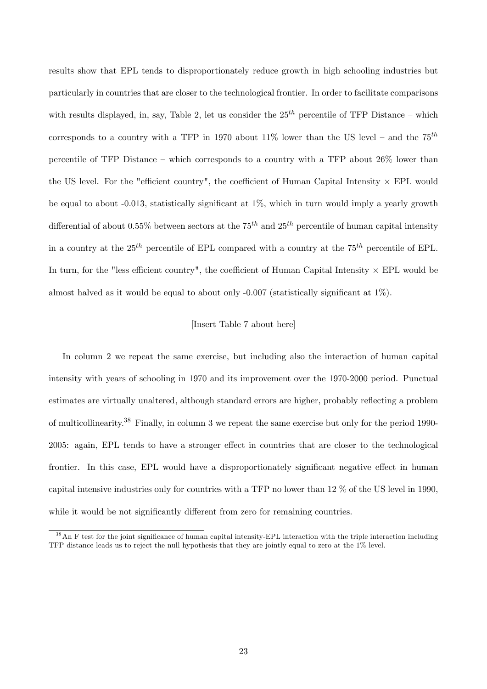results show that EPL tends to disproportionately reduce growth in high schooling industries but particularly in countries that are closer to the technological frontier. In order to facilitate comparisons with results displayed, in, say, Table 2, let us consider the  $25<sup>th</sup>$  percentile of TFP Distance – which corresponds to a country with a TFP in 1970 about 11% lower than the US level – and the  $75^{th}$ percentile of TFP Distance – which corresponds to a country with a TFP about  $26\%$  lower than the US level. For the "efficient country", the coefficient of Human Capital Intensity  $\times$  EPL would be equal to about -0.013, statistically significant at  $1\%$ , which in turn would imply a yearly growth differential of about 0.55% between sectors at the 75<sup>th</sup> and 25<sup>th</sup> percentile of human capital intensity in a country at the  $25^{th}$  percentile of EPL compared with a country at the  $75^{th}$  percentile of EPL. In turn, for the "less efficient country", the coefficient of Human Capital Intensity  $\times$  EPL would be almost halved as it would be equal to about only  $-0.007$  (statistically significant at  $1\%$ ).

#### [Insert Table 7 about here]

In column 2 we repeat the same exercise, but including also the interaction of human capital intensity with years of schooling in 1970 and its improvement over the 1970-2000 period. Punctual estimates are virtually unaltered, although standard errors are higher, probably reflecting a problem of multicollinearity.<sup>38</sup> Finally, in column 3 we repeat the same exercise but only for the period 1990- 2005: again, EPL tends to have a stronger effect in countries that are closer to the technological frontier. In this case, EPL would have a disproportionately significant negative effect in human capital intensive industries only for countries with a TFP no lower than 12 % of the US level in 1990, while it would be not significantly different from zero for remaining countries.

 $38$  An F test for the joint significance of human capital intensity-EPL interaction with the triple interaction including TFP distance leads us to reject the null hypothesis that they are jointly equal to zero at the 1% level.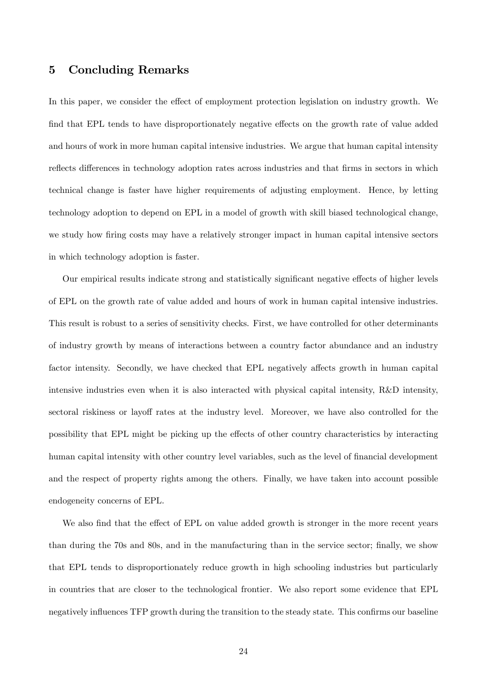## 5 Concluding Remarks

In this paper, we consider the effect of employment protection legislation on industry growth. We find that EPL tends to have disproportionately negative effects on the growth rate of value added and hours of work in more human capital intensive industries. We argue that human capital intensity reflects differences in technology adoption rates across industries and that firms in sectors in which technical change is faster have higher requirements of adjusting employment. Hence, by letting technology adoption to depend on EPL in a model of growth with skill biased technological change, we study how firing costs may have a relatively stronger impact in human capital intensive sectors in which technology adoption is faster.

Our empirical results indicate strong and statistically significant negative effects of higher levels of EPL on the growth rate of value added and hours of work in human capital intensive industries. This result is robust to a series of sensitivity checks. First, we have controlled for other determinants of industry growth by means of interactions between a country factor abundance and an industry factor intensity. Secondly, we have checked that EPL negatively affects growth in human capital intensive industries even when it is also interacted with physical capital intensity, R&D intensity, sectoral riskiness or layoff rates at the industry level. Moreover, we have also controlled for the possibility that EPL might be picking up the effects of other country characteristics by interacting human capital intensity with other country level variables, such as the level of financial development and the respect of property rights among the others. Finally, we have taken into account possible endogeneity concerns of EPL.

We also find that the effect of EPL on value added growth is stronger in the more recent years than during the 70s and 80s, and in the manufacturing than in the service sector; finally, we show that EPL tends to disproportionately reduce growth in high schooling industries but particularly in countries that are closer to the technological frontier. We also report some evidence that EPL negatively influences TFP growth during the transition to the steady state. This confirms our baseline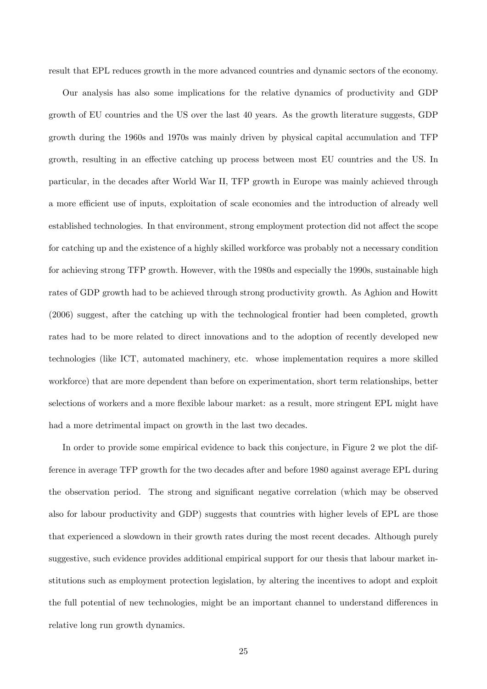result that EPL reduces growth in the more advanced countries and dynamic sectors of the economy.

Our analysis has also some implications for the relative dynamics of productivity and GDP growth of EU countries and the US over the last 40 years. As the growth literature suggests, GDP growth during the 1960s and 1970s was mainly driven by physical capital accumulation and TFP growth, resulting in an effective catching up process between most EU countries and the US. In particular, in the decades after World War II, TFP growth in Europe was mainly achieved through a more efficient use of inputs, exploitation of scale economies and the introduction of already well established technologies. In that environment, strong employment protection did not affect the scope for catching up and the existence of a highly skilled workforce was probably not a necessary condition for achieving strong TFP growth. However, with the 1980s and especially the 1990s, sustainable high rates of GDP growth had to be achieved through strong productivity growth. As Aghion and Howitt (2006) suggest, after the catching up with the technological frontier had been completed, growth rates had to be more related to direct innovations and to the adoption of recently developed new technologies (like ICT, automated machinery, etc. whose implementation requires a more skilled workforce) that are more dependent than before on experimentation, short term relationships, better selections of workers and a more flexible labour market: as a result, more stringent EPL might have had a more detrimental impact on growth in the last two decades.

In order to provide some empirical evidence to back this conjecture, in Figure 2 we plot the difference in average TFP growth for the two decades after and before 1980 against average EPL during the observation period. The strong and significant negative correlation (which may be observed also for labour productivity and GDP) suggests that countries with higher levels of EPL are those that experienced a slowdown in their growth rates during the most recent decades. Although purely suggestive, such evidence provides additional empirical support for our thesis that labour market institutions such as employment protection legislation, by altering the incentives to adopt and exploit the full potential of new technologies, might be an important channel to understand differences in relative long run growth dynamics.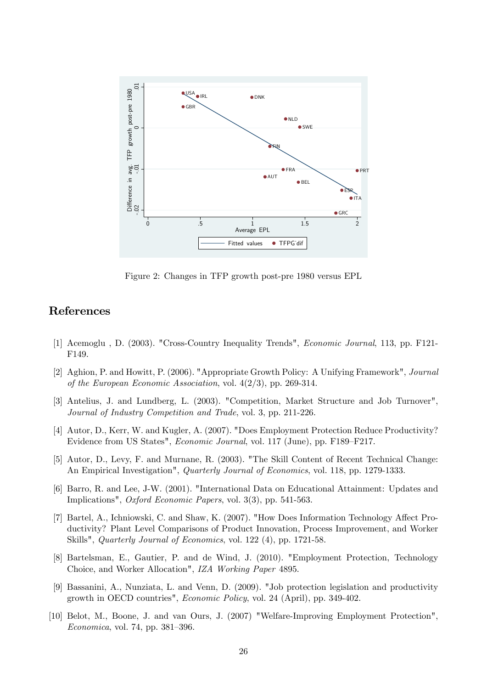

Figure 2: Changes in TFP growth post-pre 1980 versus EPL

# References

- [1] Acemoglu , D. (2003). "Cross-Country Inequality Trends", Economic Journal, 113, pp. F121- F149.
- [2] Aghion, P. and Howitt, P. (2006). "Appropriate Growth Policy: A Unifying Framework", Journal of the European Economic Association, vol.  $4(2/3)$ , pp. 269-314.
- [3] Antelius, J. and Lundberg, L. (2003). "Competition, Market Structure and Job Turnover", Journal of Industry Competition and Trade, vol. 3, pp. 211-226.
- [4] Autor, D., Kerr, W. and Kugler, A. (2007). "Does Employment Protection Reduce Productivity? Evidence from US States", *Economic Journal*, vol. 117 (June), pp. F189–F217.
- [5] Autor, D., Levy, F. and Murnane, R. (2003). "The Skill Content of Recent Technical Change: An Empirical Investigation", *Quarterly Journal of Economics*, vol. 118, pp. 1279-1333.
- [6] Barro, R. and Lee, J-W. (2001). "International Data on Educational Attainment: Updates and Implications", Oxford Economic Papers, vol. 3(3), pp. 541-563.
- [7] Bartel, A., Ichniowski, C. and Shaw, K. (2007). "How Does Information Technology Affect Productivity? Plant Level Comparisons of Product Innovation, Process Improvement, and Worker Skills", *Quarterly Journal of Economics*, vol. 122 (4), pp. 1721-58.
- [8] Bartelsman, E., Gautier, P. and de Wind, J. (2010). "Employment Protection, Technology Choice, and Worker Allocation", IZA Working Paper 4895.
- [9] Bassanini, A., Nunziata, L. and Venn, D. (2009). "Job protection legislation and productivity growth in OECD countries", Economic Policy, vol. 24 (April), pp. 349-402.
- [10] Belot, M., Boone, J. and van Ours, J. (2007) "Welfare-Improving Employment Protection",  $Economica$ , vol. 74, pp. 381–396.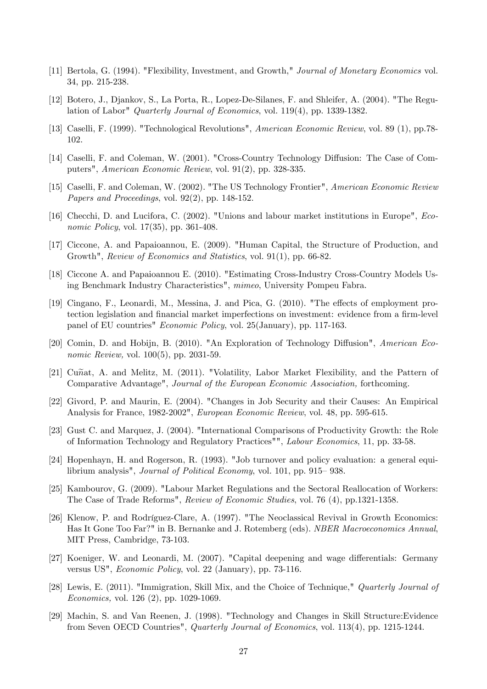- [11] Bertola, G. (1994). "Flexibility, Investment, and Growth," Journal of Monetary Economics vol. 34, pp. 215-238.
- [12] Botero, J., Djankov, S., La Porta, R., Lopez-De-Silanes, F. and Shleifer, A. (2004). "The Regulation of Labor" Quarterly Journal of Economics, vol. 119(4), pp. 1339-1382.
- [13] Caselli, F. (1999). "Technological Revolutions", American Economic Review, vol. 89 (1), pp.78- 102.
- [14] Caselli, F. and Coleman, W. (2001). "Cross-Country Technology Diffusion: The Case of Computers", American Economic Review, vol. 91(2), pp. 328-335.
- [15] Caselli, F. and Coleman, W. (2002). "The US Technology Frontier", American Economic Review Papers and Proceedings, vol. 92(2), pp. 148-152.
- [16] Checchi, D. and Lucifora, C. (2002). "Unions and labour market institutions in Europe", Economic Policy, vol. 17(35), pp. 361-408.
- [17] Ciccone, A. and Papaioannou, E. (2009). "Human Capital, the Structure of Production, and Growth", Review of Economics and Statistics, vol. 91(1), pp. 66-82.
- [18] Ciccone A. and Papaioannou E. (2010). "Estimating Cross-Industry Cross-Country Models Using Benchmark Industry Characteristics", mimeo, University Pompeu Fabra.
- [19] Cingano, F., Leonardi, M., Messina, J. and Pica, G. (2010). "The effects of employment protection legislation and financial market imperfections on investment: evidence from a firm-level panel of EU countries" Economic Policy, vol. 25(January), pp. 117-163.
- [20] Comin, D. and Hobijn, B. (2010). "An Exploration of Technology Diffusion", American Economic Review, vol. 100(5), pp. 2031-59.
- [21] Cu $\tilde{n}$ at, A. and Melitz, M. (2011). "Volatility, Labor Market Flexibility, and the Pattern of Comparative Advantage", Journal of the European Economic Association, forthcoming.
- [22] Givord, P. and Maurin, E. (2004). "Changes in Job Security and their Causes: An Empirical Analysis for France, 1982-2002", European Economic Review, vol. 48, pp. 595-615.
- [23] Gust C. and Marquez, J. (2004). "International Comparisons of Productivity Growth: the Role of Information Technology and Regulatory Practices"", Labour Economics, 11, pp. 33-58.
- [24] Hopenhayn, H. and Rogerson, R. (1993). "Job turnover and policy evaluation: a general equilibrium analysis", *Journal of Political Economy*, vol.  $101$ , pp.  $915-938$ .
- [25] Kambourov, G. (2009). "Labour Market Regulations and the Sectoral Reallocation of Workers: The Case of Trade Reforms", Review of Economic Studies, vol. 76 (4), pp.1321-1358.
- [26] Klenow, P. and Rodríguez-Clare, A. (1997). "The Neoclassical Revival in Growth Economics: Has It Gone Too Far?" in B. Bernanke and J. Rotemberg (eds). NBER Macroeconomics Annual, MIT Press, Cambridge, 73-103.
- [27] Koeniger, W. and Leonardi, M. (2007). "Capital deepening and wage differentials: Germany versus US", Economic Policy, vol. 22 (January), pp. 73-116.
- [28] Lewis, E. (2011). "Immigration, Skill Mix, and the Choice of Technique," Quarterly Journal of Economics, vol. 126 (2), pp. 1029-1069.
- [29] Machin, S. and Van Reenen, J. (1998). "Technology and Changes in Skill Structure:Evidence from Seven OECD Countries", Quarterly Journal of Economics, vol. 113(4), pp. 1215-1244.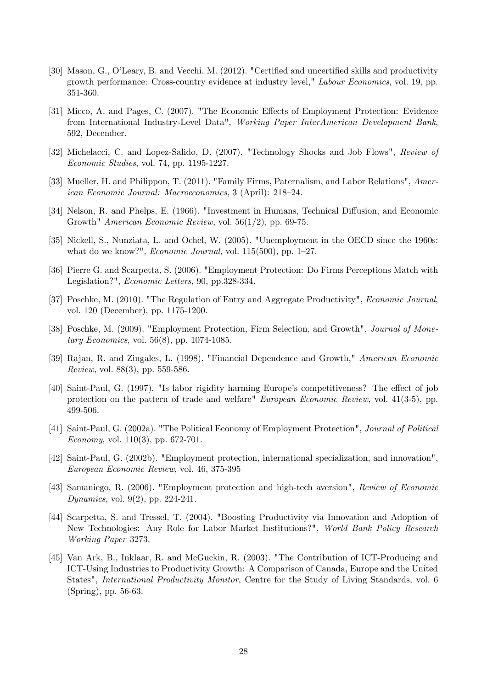- [30] Mason, G., O'Leary, B. and Vecchi, M. (2012). "Certified and uncertified skills and productivity growth performance: Cross-country evidence at industry level," Labour Economics, vol. 19, pp. 351-360.
- [31] Micco, A. and Pages, C. (2007). "The Economic Effects of Employment Protection: Evidence from International Industry-Level Data", Working Paper InterAmerican Development Bank, 592, December.
- [32] Michelacci, C. and Lopez-Salido, D. (2007). "Technology Shocks and Job Flows", Review of Economic Studies, vol. 74, pp. 1195-1227.
- [33] Mueller, H. and Philippon, T. (2011). "Family Firms, Paternalism, and Labor Relations", American Economic Journal: Macroeconomics, 3 (April): 218–24.
- [34] Nelson, R. and Phelps, E. (1966). "Investment in Humans, Technical Diffusion, and Economic Growth" American Economic Review, vol. 56(1/2), pp. 69-75.
- [35] Nickell, S., Nunziata, L. and Ochel, W. (2005). "Unemployment in the OECD since the 1960s: what do we know?", *Economic Journal*, vol.  $115(500)$ , pp.  $1-27$ .
- [36] Pierre G. and Scarpetta, S. (2006). "Employment Protection: Do Firms Perceptions Match with Legislation?", Economic Letters, 90, pp.328-334.
- [37] Poschke, M. (2010). "The Regulation of Entry and Aggregate Productivity", Economic Journal, vol. 120 (December), pp. 1175-1200.
- [38] Poschke, M. (2009). "Employment Protection, Firm Selection, and Growth", Journal of Monetary Economics, vol. 56(8), pp. 1074-1085.
- [39] Rajan, R. and Zingales, L. (1998). "Financial Dependence and Growth," American Economic Review, vol. 88(3), pp. 559-586.
- [40] Saint-Paul, G. (1997). "Is labor rigidity harming Europe's competitiveness? The effect of job protection on the pattern of trade and welfare" European Economic Review, vol. 41(3-5), pp. 499-506.
- [41] Saint-Paul, G. (2002a). "The Political Economy of Employment Protection", Journal of Political Economy, vol. 110(3), pp. 672-701.
- [42] Saint-Paul, G. (2002b). "Employment protection, international specialization, and innovation", European Economic Review, vol. 46, 375-395
- [43] Samaniego, R. (2006). "Employment protection and high-tech aversion", Review of Economic Dynamics, vol. 9(2), pp. 224-241.
- [44] Scarpetta, S. and Tressel, T. (2004). "Boosting Productivity via Innovation and Adoption of New Technologies: Any Role for Labor Market Institutions?", World Bank Policy Research Working Paper 3273.
- [45] Van Ark, B., Inklaar, R. and McGuckin, R. (2003). "The Contribution of ICT-Producing and ICT-Using Industries to Productivity Growth: A Comparison of Canada, Europe and the United States", International Productivity Monitor, Centre for the Study of Living Standards, vol. 6 (Spring), pp. 56-63.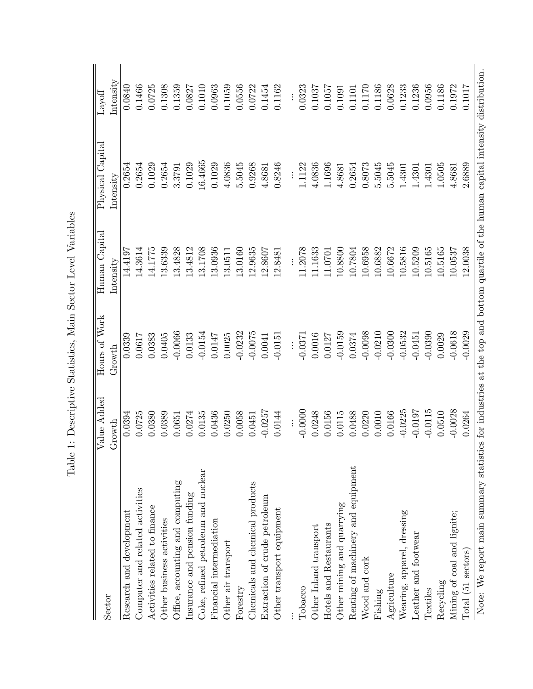| Sector                                                                                                                          | Value Added | Hours of Work | Human Capital              | Physical Capital           | Lawoff                                           |
|---------------------------------------------------------------------------------------------------------------------------------|-------------|---------------|----------------------------|----------------------------|--------------------------------------------------|
|                                                                                                                                 | Growth      | Growth        | $\operatorname{Intensity}$ | $\operatorname{Intensity}$ | $\mathop{\rm Int}\nolimits_{\mathop{\rm ess} i}$ |
| Research and development                                                                                                        | 0.0394      | 0.0339        | 14.4197                    | 0.2654                     | 0.0840                                           |
| Computer and related activities                                                                                                 | 0.0725      | 0.0617        | 14.3614                    | 0.2654                     | 0.1466                                           |
| Activities related to finance                                                                                                   | 0.0380      | 0.0383        | 14.1775                    | 0.1029                     | 0.0725                                           |
| Other business activities                                                                                                       | 0.0389      | 0.0405        | 13.6339                    | 0.2654                     | 0.1308                                           |
| Office, accounting and computing                                                                                                | 0.0651      | $-0.0066$     | 13.4828                    | 3.3791                     | 0.1359                                           |
| Insurance and pension funding                                                                                                   | 0.0274      | 0.0133        | 13.4812                    | 0.1029                     | 0.0827                                           |
| Coke, refined petroleum and nuclear                                                                                             | 0.0135      | $-0.0154$     | 13.1708                    | 16.4665                    | 0.1010                                           |
| Financial intermediation                                                                                                        | 0.0436      | 0.0147        | 13.0936                    | 0.1029                     | 0.0963                                           |
| Other air transport                                                                                                             | 0.0250      | 0.0025        | 13.0511                    | 4.0836                     | 0.1059                                           |
| Forestry                                                                                                                        | 0.0058      | $-0.0232$     | 13.0160                    | 5.5045                     | 0.0556                                           |
| Chemicals and chemical products                                                                                                 | 0.0451      | $-0.0075$     | 12.9635                    | 0.9268                     | 0.0722                                           |
| Extraction of crude petroleum                                                                                                   | $-0.0257$   | 0.0041        | 12.8607                    | 4.8681                     | 0.1454                                           |
| Other transport equipment                                                                                                       | 0.0144      | $-0.0151$     | 12.8481                    | 0.8246                     | 0.1162                                           |
|                                                                                                                                 |             |               |                            |                            |                                                  |
| Tobacco                                                                                                                         | $-0.0000$   | $-0.0371$     | 11.2078                    | 1.1122                     | 0.0323                                           |
| Other Inland transport                                                                                                          | 0.0248      | 0.0016        | 11.1633                    | 4.0836                     | 0.1037                                           |
| Hotels and Restaurants                                                                                                          | 0.0156      | 0.0127        | 11.0701                    | 1.1696                     | 0.1057                                           |
| Other mining and quarrying                                                                                                      | 0.0115      | $-0.0159$     | 10.8800                    | 4.8681                     | 0.1091                                           |
| Renting of machinery and equipment                                                                                              | 0.0488      | 0.0374        | 10.7804                    | 0.2654                     | 0.1101                                           |
| Wood and cork                                                                                                                   | 0.0220      | $-0.0098$     | 10.6958                    | 0.8073                     | 0.1170                                           |
| Fishing                                                                                                                         | 0.0010      | $-0.0210$     | 10.6882                    | 5.5045                     | 0.1186                                           |
| Agriculture                                                                                                                     | 0.0166      | $-0.0300$     | 10.6672                    | 5.5045                     | 0.0628                                           |
| Wearing, apparel, dressing                                                                                                      | $-0.0225$   | $-0.0532$     | 10.5816                    | 1.4301                     | 0.1233                                           |
| Leather and footwear                                                                                                            | $-0.0197$   | $-0.0451$     | 10.5209                    | 1.4301                     | 0.1236                                           |
| Textiles                                                                                                                        | $-0.0115$   | $-0.0390$     | 10.5165                    | 1.4301                     | 0.0956                                           |
| Recycling                                                                                                                       | 0.0510      | 0.0029        | 10.5165                    | 1.0505                     | 0.1186                                           |
| Mining of coal and lignite;                                                                                                     | $-0.0028$   | $-0.0618$     | 10.0537                    | 4.8681                     | 0.1972                                           |
| Total (51 sectors)                                                                                                              | 0.0264      | $-0.0029$     | 12.0038                    | 2.6889                     | 0.1017                                           |
| Note: We wone main summary statistics for industries of the ten and hottom enortile of the human earlied intensity distribution |             |               |                            |                            |                                                  |

Table 1: Descriptive Statistics, Main Sector Level Variables Table 1: Descriptive Statistics, Main Sector Level Variables

Note: We report mann summary statistics at the top and bottom quartile of the top and bottom quartile of the human capital intensity distribution. Note: We report main summary statistics for industries at the top and bottom quartile of the human capital intensity distribution.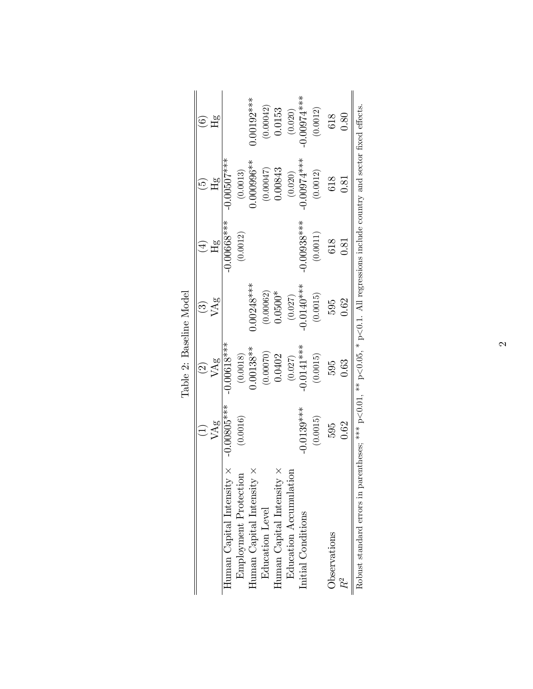|                                  |              | $\odot$                   | <u>ကြ</u>    | $\overline{4}$                      | $\widetilde{\mathbf{e}}$ | $\odot$               |
|----------------------------------|--------------|---------------------------|--------------|-------------------------------------|--------------------------|-----------------------|
|                                  | VAg          | $\ensuremath{\text{VAg}}$ | VAg          | $\mathbb{H}^{\alpha}_{\mathcal{B}}$ | Hg                       | $\mathbb{H}^{\alpha}$ |
| Human Capital Intensity $\times$ | 1.00805***   | $-0.00618$ ***            |              | $-0.00668***$                       | $-0.00507$ ***           |                       |
| Employment Protection            | (0.0016)     | (0.0018)                  |              | (0.0012)                            | (0.0013)                 |                       |
| Human Capital Intensity $\times$ |              | $0.00138**$               | $0.00248***$ |                                     | $0.000996**$             | $0.00192***$          |
| Education Level                  |              | (0.00070)                 | (0.00062)    |                                     | (0.00047)                | (0.00042)             |
| Human Capital Intensity $\times$ |              | 0.0402                    | $0.0500*$    |                                     | 0.00843                  | 0.0153                |
| Education Accumulation           |              | (0.027)                   | (0.027)      |                                     | (0.020)                  | (0.020)               |
| Initial Conditions               | $-0.0139***$ | $-0.0141***$              | $-0.0140***$ | $-0.00938***$                       | $-0.00074***$            | $-0.00974***$         |
|                                  | (0.0015)     | (0.0015)                  | (0.0015)     | $\left( 0.0011\right)$              | (0.0012)                 | (0.0012)              |
| Observations                     | 595          | 595                       | 595          | 618                                 | 618                      | 618                   |
| R2<br>R                          | 0.62         | 0.63                      | 0.62         | 0.81                                | 0.81                     | 0.80                  |

|  |  | Baseline Model |
|--|--|----------------|
|  |  |                |
|  |  |                |
|  |  |                |
|  |  |                |
|  |  |                |
|  |  |                |
|  |  |                |
|  |  | Table 2:       |
|  |  |                |
|  |  |                |
|  |  |                |

 $\mathfrak{g}$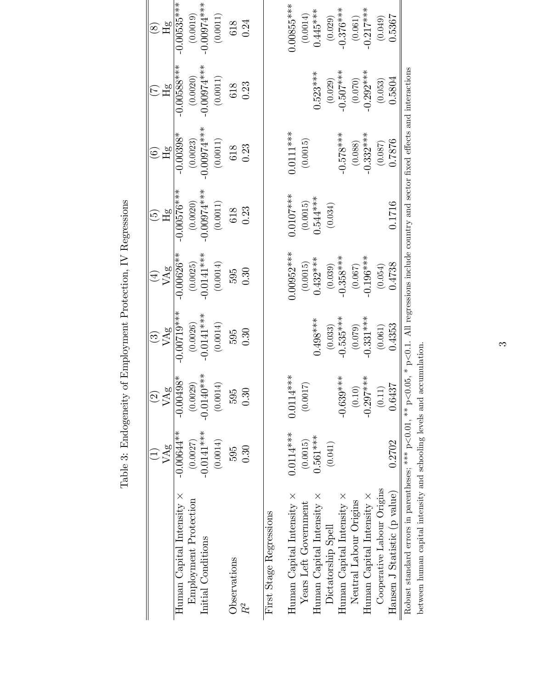|                                                                        |                     | $\widehat{\Omega}$ | $\widehat{\mathfrak{S}}$ | $\bigoplus$         | $\widetilde{\mathbb{G}}$                                                                       | $\widehat{\odot}$        | E                          | $\circledast$              |
|------------------------------------------------------------------------|---------------------|--------------------|--------------------------|---------------------|------------------------------------------------------------------------------------------------|--------------------------|----------------------------|----------------------------|
| Human Capital Intensity ×                                              | $-0.00644**$<br>VAg | $-0.00498*$<br>VAg | $-0.00719***$<br>VAg     | $-0.00626**$<br>VAg | $-0.00576***$<br>Hg                                                                            | $-0.00398*$<br>$\rm{Hg}$ | $-0.00588***$<br>$\rm{Hg}$ | $-0.00535***$<br>$\rm{Hg}$ |
| Employment Protection                                                  | (0.0027)            | (0.0029)           | (0.0026)                 | (0.0025)            | (0.0020)                                                                                       | (0.0023)                 | (0.0020)                   | (0.0019)                   |
| Initial Conditions                                                     | $-0.0141***$        | $-0.0140***$       | $-0.0141***$             | $-0.0141***$        | $-0.00074***$                                                                                  | $-0.00074***$            | $-0.00074***$              | $-0.00974***$              |
|                                                                        | (0.0014)            | (0.0014)           | (0.0014)                 | (0.0014)            | (0.0011)                                                                                       | (0.0011)                 | $\left(0.0011\right)$      | (0.0011)                   |
| Observations                                                           | 595                 | 595                | 595                      | 595                 | $618$                                                                                          | 618                      | 618                        | 618                        |
| $R^2$                                                                  | 0.30                | $\widetilde{3}$    | 0.30                     | 0.30                | 0.23                                                                                           | 0.23                     | 0.23                       | 0.24                       |
| First Stage Regressions                                                |                     |                    |                          |                     |                                                                                                |                          |                            |                            |
| Human Capital Intensity $\times$                                       | $0.0114***$         | ***<br>0.0114      |                          | $0.00952***$        | $0.0107***$                                                                                    | $0.0111***$              |                            | 1.00855***                 |
| Years Left Government                                                  | (0.0015)            | E<br>(0.001)       |                          | (0.0015)            |                                                                                                | (0.0015)                 |                            | (0.0014)                   |
| Human Capital Intensity $\times$                                       | $0.561***$          |                    | $0.498***$               | $0.432***$          | $(0.0015)$<br>0.544***                                                                         |                          | $0.523***$                 | $0.445***$                 |
| Dictatorship Spell                                                     | (0.041)             |                    | (0.033)                  | (0.039)             | (0.034)                                                                                        |                          | (0.029)                    | (0.029)                    |
| Human Capital Intensity $\times$                                       |                     | $-0.639***$        | $-0.535***$              | $-0.358***$         |                                                                                                | $-0.578***$              | $-0.507***$                | $-0.376***$                |
| Neutral Labour Origins                                                 |                     | (0.10)             | (0.079)                  | (0.067)             |                                                                                                | (0.088)                  | (0.070)                    | (0.061)                    |
| Human Capital Intensity $\times$                                       |                     | $-0.297***$        | $-0.331***$              | $-0.196***$         |                                                                                                | $-0.332***$              | $-0.292***$                | $-0.217***$                |
| Cooperative Labour Origins                                             |                     | (0.11)             | (0.061)                  | (0.054)             |                                                                                                | (0.087)                  | (0.053)                    | (0.049)                    |
| Hansen J Statistic (p value)                                           | 0.2702              | 0.6437             | 0.4353                   | 0.4738              | 0.1716                                                                                         | 0.876                    | 0.5804                     | 0.5367                     |
| Robust standard errors in parentheses; *** $p<0.01$ , ** $p<0$         |                     |                    |                          |                     | $0.05$ , * $p<0.1$ . All regressions include country and sector fixed effects and interactions |                          |                            |                            |
| between human capital intensity and schooling levels and accumulation. |                     |                    |                          |                     |                                                                                                |                          |                            |                            |

Table 3: Endogeneity of Employment Protection, IV Regressions Table 3: Endogeneity of Employment Protection, IV Regressions

 $\infty$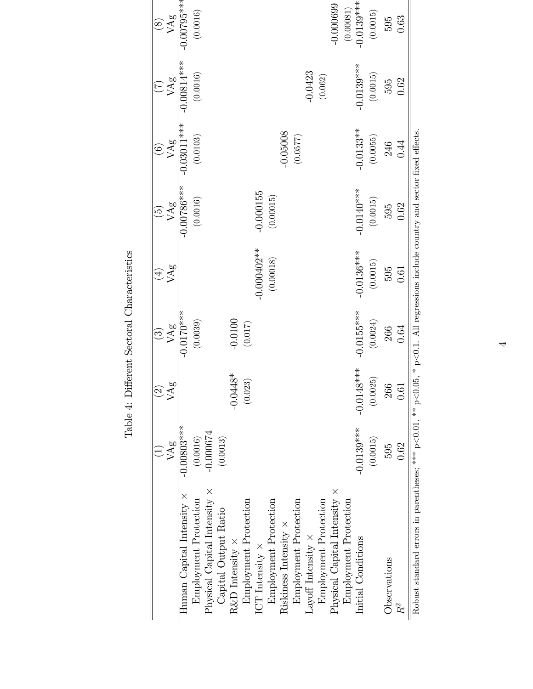|                | $\overline{\mathcal{C}}$ | $\widehat{\mathfrak{S}}$ | $\widehat{+}$ |                |                                 |                                                                                                                                                                      | $\bigcircled{s}$ |
|----------------|--------------------------|--------------------------|---------------|----------------|---------------------------------|----------------------------------------------------------------------------------------------------------------------------------------------------------------------|------------------|
| VAg            | ಶ್ರ<br>$\heartsuit$      | VAg                      | VAg           |                | VAg                             | VAg                                                                                                                                                                  | VAg              |
| $-0.00803$ *** |                          | $-0.0170$ ***            |               | $-0.00786$ *** | $-0.03011***$                   | $-0.00814***$                                                                                                                                                        | $-0.00795***$    |
| (0.0016)       |                          | (0.0039)                 |               | (0.0016)       | (0.0103)                        | (0.0016)                                                                                                                                                             | (0.0016)         |
| $-0.000674$    |                          |                          |               |                |                                 |                                                                                                                                                                      |                  |
| (0.0013)       |                          |                          |               |                |                                 |                                                                                                                                                                      |                  |
|                | $-0.0448*$               | $-0.0100$                |               |                |                                 |                                                                                                                                                                      |                  |
|                | (0.023)                  | (0.017)                  |               |                |                                 |                                                                                                                                                                      |                  |
|                |                          |                          | $-0.000402**$ | $-0.000155$    |                                 |                                                                                                                                                                      |                  |
|                |                          |                          | (0.00018)     | (0.00015)      |                                 |                                                                                                                                                                      |                  |
|                |                          |                          |               |                | $-0.05008$                      |                                                                                                                                                                      |                  |
|                |                          |                          |               |                | (0.0577)                        |                                                                                                                                                                      |                  |
|                |                          |                          |               |                |                                 | $-0.0423$                                                                                                                                                            |                  |
|                |                          |                          |               |                |                                 | (0.062)                                                                                                                                                              |                  |
|                |                          |                          |               |                |                                 |                                                                                                                                                                      | $-0.000699$      |
|                |                          |                          |               |                |                                 |                                                                                                                                                                      | (0.00081)        |
| $-0.0139***$   | $-0.014$                 | $-0.0155***$             | $-0.0136***$  | $-0.0140***$   | $-0.0133***$                    | $-0.0139***$                                                                                                                                                         | $-0.0139***$     |
| (0.0015)       | (0.0025)                 | (0.0024)                 | (0.0015)      | (0.0015)       | (0.0055)                        | (0.0015)                                                                                                                                                             | (0.0015)         |
| 595            | 26                       | 266                      | 595           | 595            | 246                             | 595                                                                                                                                                                  | 595              |
| 0.62           | 0.61                     | 0.64                     | 0.61          | 0.62           | 0.44                            | 0.62                                                                                                                                                                 | 0.63             |
|                |                          |                          |               |                |                                 |                                                                                                                                                                      |                  |
|                |                          | $****$                   |               |                | VAg<br>$\widehat{\mathfrak{S}}$ | Robust standard errors in parentheses; *** $p<0.01$ , ** $p<0.05$ , * $p<0.1$ . All regressions include country and sector fixed effects<br>$\widehat{\mathfrak{S}}$ |                  |

Table 4: Different Sectoral Characteristics Table 4: Different Sectoral Characteristics

4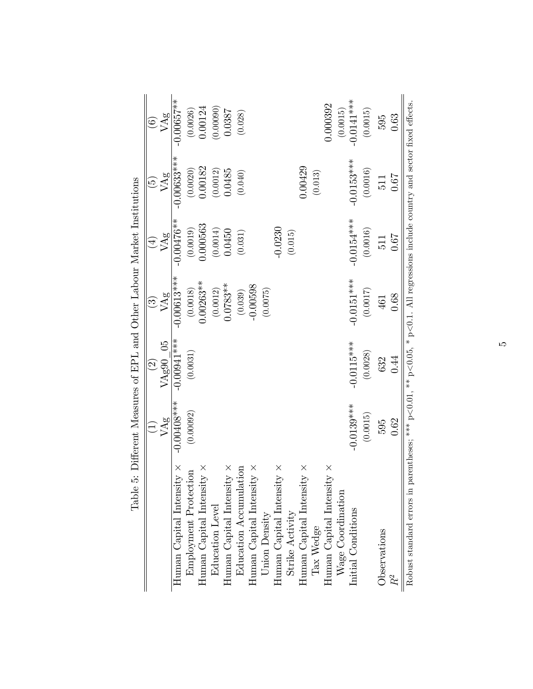|                                                                                                                                           |                | $\odot$       | $\widetilde{\Xi}$ | $\bigoplus$  | $\widetilde{\mathbb{G}}$ | $\widehat{\odot}$               |
|-------------------------------------------------------------------------------------------------------------------------------------------|----------------|---------------|-------------------|--------------|--------------------------|---------------------------------|
|                                                                                                                                           | VAg            | VAg90 05      | VAg               | VAg          | VAg                      | VAg                             |
| Human Capital Intensity $\times$                                                                                                          | $-0.00408$ *** | $-0.00941***$ | $-0.00613***$     | $-0.00476**$ | $-0.00633***$            | $-0.00657**$                    |
| Employment Protection                                                                                                                     | (0.00092)      | (0.0031)      | (0.0018)          | (0.0019)     | (0.0020)                 |                                 |
| Human Capital Intensity $\times$                                                                                                          |                |               | $0.00263**$       | 0.000563     | 0.00182                  | $\left(0.0026\right)$ $0.00124$ |
| <b>Education</b> Level                                                                                                                    |                |               | (0.0012)          | (0.0014)     | (0.0012)                 | (0.00090)                       |
| Human Capital Intensity $\times$                                                                                                          |                |               | $0.0783**$        | 0.0450       | 0.0485                   | 0.0387                          |
| Education Accumulation                                                                                                                    |                |               | (0.039)           | (0.031)      | (0.040)                  | (0.028)                         |
| Human Capital Intensity $\times$                                                                                                          |                |               | $-0.00598$        |              |                          |                                 |
| Union Density                                                                                                                             |                |               | (0.0075)          |              |                          |                                 |
| Human Capital Intensity $\times$                                                                                                          |                |               |                   | $-0.0230$    |                          |                                 |
| Strike Activity                                                                                                                           |                |               |                   | (0.015)      |                          |                                 |
| Human Capital Intensity $\times$                                                                                                          |                |               |                   |              | 0.00429                  |                                 |
| Tax Wedge                                                                                                                                 |                |               |                   |              | (0.013)                  |                                 |
| Human Capital Intensity $\times$                                                                                                          |                |               |                   |              |                          | 0.000392                        |
| $W$ age Coordination                                                                                                                      |                |               |                   |              |                          | (0.0015)                        |
| Initial Conditions                                                                                                                        | $-0.0139***$   | $-0.0115***$  | $-0.0151***$      | $-0.0154***$ | $-0.0153***$             | $-0.0141***$                    |
|                                                                                                                                           | (0.0015)       | (0.0028)      | (0.0017)          | (0.0016)     | (0.0016)                 | (0.0015)                        |
| Observations                                                                                                                              | 595            | 632           | 461               | 511          | 511                      | 595                             |
|                                                                                                                                           | 0.62           | 0.44          | 0.68              | 79.0         | 0.67                     | 0.63                            |
| Robust standard errors in parentheses; *** $p<0.01$ , ** $p<0.05$ , * $p<0.1$ . All regressions include country and sector fixed effects. |                |               |                   |              |                          |                                 |

Table 5: Different Measures of EPL and Other Labour Market Institutions Table 5: Different Measures of EPL and Other Labour Market Institutions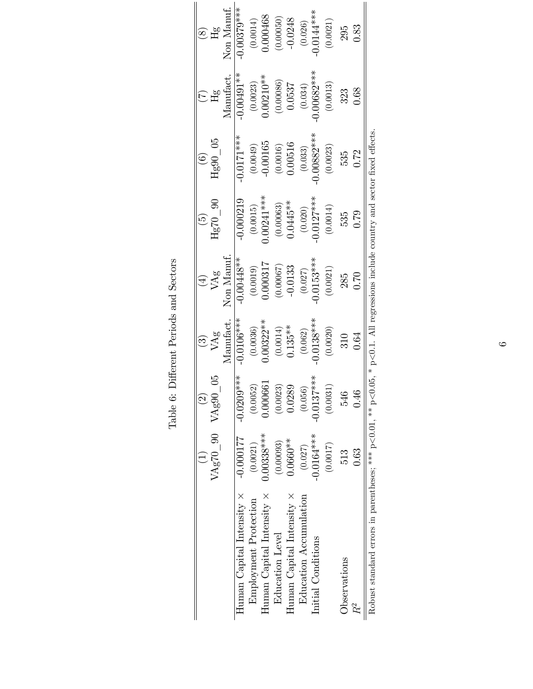|                                                                                                                                          |                      | $\widehat{2}$     | $\bigcirc$  | $\left( \frac{4}{3} \right)$ |                         |                               |                            | $\circledS$                |
|------------------------------------------------------------------------------------------------------------------------------------------|----------------------|-------------------|-------------|------------------------------|-------------------------|-------------------------------|----------------------------|----------------------------|
|                                                                                                                                          | $VAg70_90$ $VAg90_0$ |                   | VAg         | VAg                          | $Hg70$ 90               | $Hg90$ 05                     | $H_{\mathcal{S}}^{\sigma}$ | $H_{\mathcal{S}}^{\sigma}$ |
|                                                                                                                                          |                      |                   | Manufact.   | Non Manuf                    |                         |                               | Manufact.                  | Non Manuf.                 |
| Human Capital Intensity $\times$                                                                                                         | $-0.000177$          | ****<br>$-0.0209$ | $0.0106***$ | $-0.00448**$                 | $-0.000219$             | $-0.0171***$                  | $-0.00491**$               | $-0.00379***$              |
| Employment Protection                                                                                                                    | (0.0021)             | (0.0052)          | (0.0036)    | (0.0019)                     | (0.0015)                | (0.0049)                      | (0.0023)                   |                            |
| Human Capital Intensity ×                                                                                                                | $0.00338***$         | 0.000661          | $0.00322**$ | 0.000317                     | $0.00241***$            | $-0.00165$                    | $0.00210**$                | $(0.0014)$<br>0.000468     |
| <b>Education Level</b>                                                                                                                   | (0.00093)            | (0.0023)          | (0.0014)    | (0.00067)                    |                         |                               | (0.00086)                  | (0.00050)                  |
| Human Capital Intensity $\times$                                                                                                         | $0.0660**$           | 0.0289            | $0.135***$  | $-0.0133$                    | $(0.00063)$<br>0.0445** | $\left(0.0016\right)$ 0.00516 | 0.0537                     | $-0.0248$                  |
| Education Accumulation                                                                                                                   | (0.027)              | (0.056)           | (0.062)     | (0.027)                      | (0.020)                 | (0.033)                       | (0.034)                    | (0.026)                    |
| Initial Conditions                                                                                                                       | $-0.0164***$         | ****<br>$-0.0137$ | $0.0138***$ | $0.0153***$                  | $-0.0127***$            | $0.00882***$                  | $0.00682***$               | $0.0144***$                |
|                                                                                                                                          | (0.0017)             | (0.0031)          | (0.0020)    | (0.0021)                     | (0.0014)                | (0.0023)                      | (0.0013)                   | (0.0021)                   |
| Observations                                                                                                                             | 513                  | 546               | 310         | 285                          | 535                     | 535                           | 323                        | 295                        |
| $\rm{P}^2$                                                                                                                               | 0.63                 | 0.46              | 0.64        | 0.70                         | 0.79                    | 0.72                          | 0.68                       | 0.83                       |
| Robust standard errors in parentheses; *** $p<0.01$ , ** $p<0.05$ , * $p<0.1$ . All regressions include country and sector fixed effects |                      |                   |             |                              |                         |                               |                            |                            |

| Table 6: Different Periods and Sectors |
|----------------------------------------|
|                                        |

 $\circ$